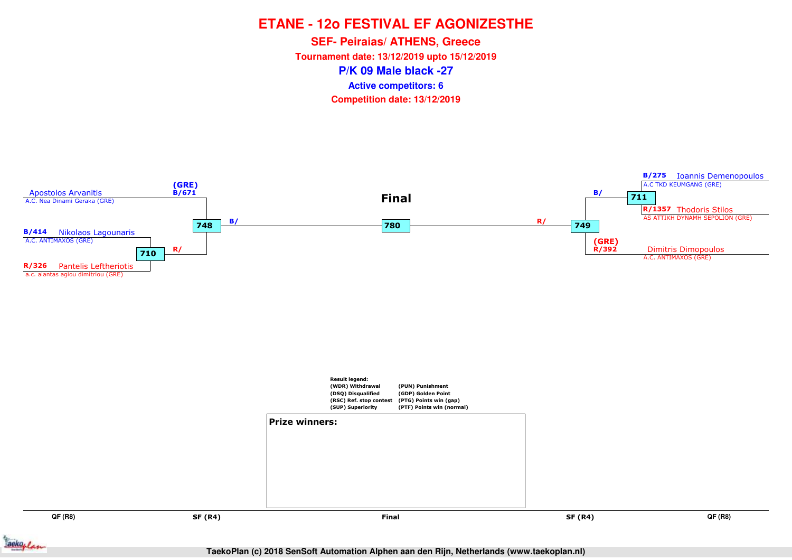**P/K 09 Male black -27SEF- Peiraias/ ATHENS, Greece Tournament date: 13/12/2019 upto 15/12/2019Competition date: 13/12/2019 Active competitors: 6**



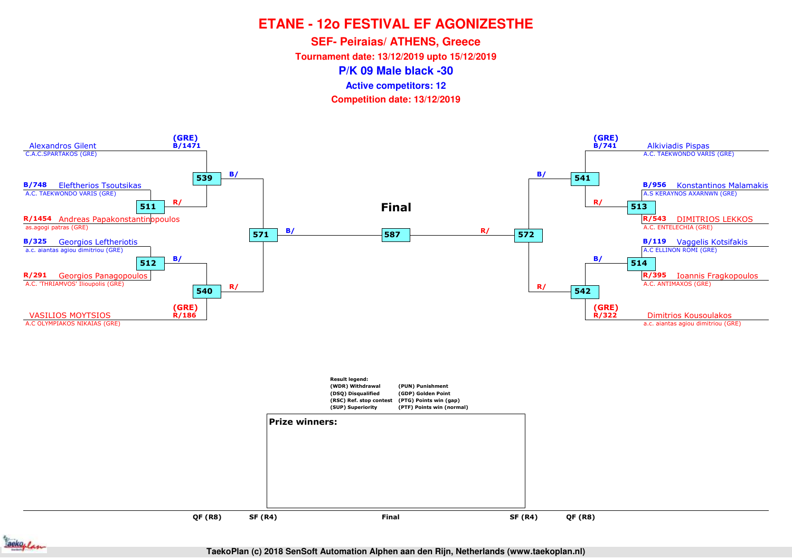**SEF- Peiraias/ ATHENS, Greece**

**Tournament date: 13/12/2019 upto 15/12/2019**

**P/K 09 Male black -30**

**Active competitors: 12**

**Competition date: 13/12/2019**



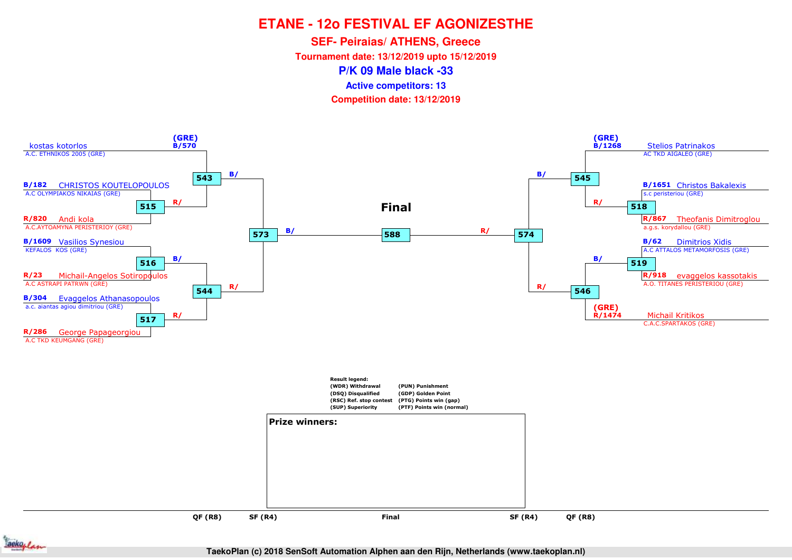**SEF- Peiraias/ ATHENS, Greece**

**Tournament date: 13/12/2019 upto 15/12/2019**

**P/K 09 Male black -33**

**Active competitors: 13**

**Competition date: 13/12/2019**



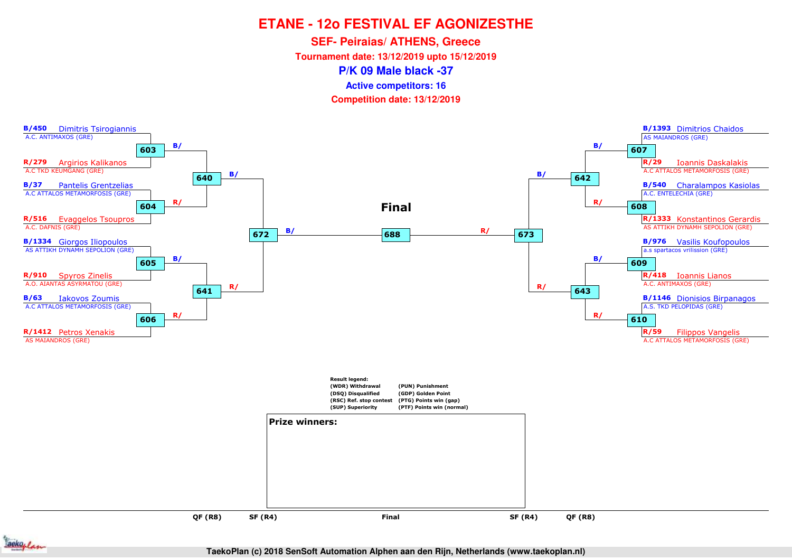**SEF- Peiraias/ ATHENS, Greece**

**Tournament date: 13/12/2019 upto 15/12/2019**

**P/K 09 Male black -37**

**Active competitors: 16**

**Competition date: 13/12/2019**



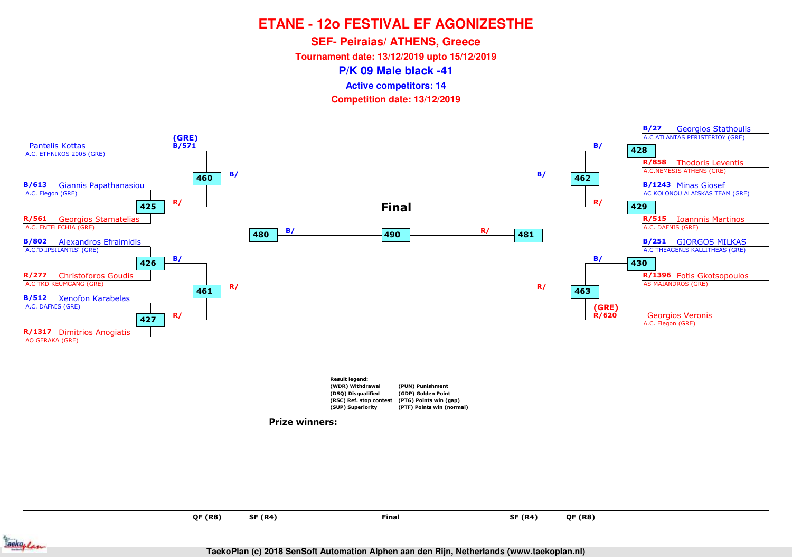**SEF- Peiraias/ ATHENS, Greece**

**Tournament date: 13/12/2019 upto 15/12/2019**

**P/K 09 Male black -41**

**Active competitors: 14**

**Competition date: 13/12/2019**



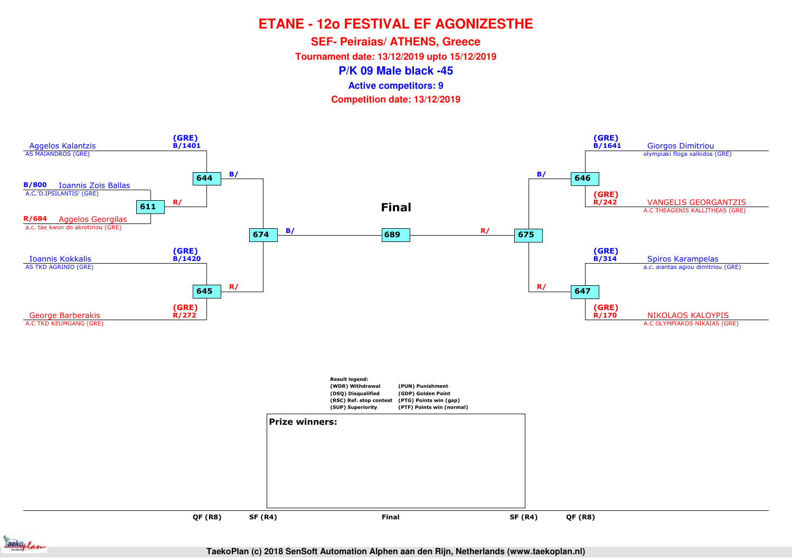**SEF- Peiraias/ ATHENS, Greece**

**Tournament date: 13/12/2019 upto 15/12/2019**

**P/K 09 Male black -45**

**Active competitors: 9**

**Competition date: 13/12/2019**



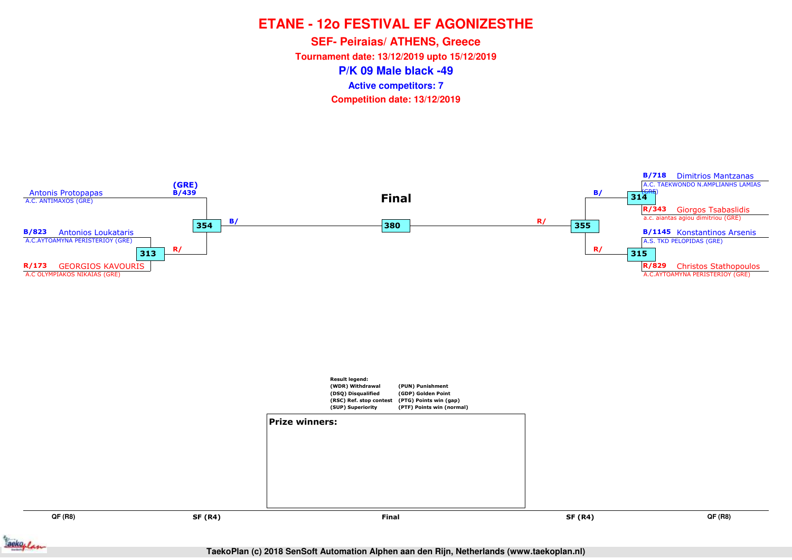**P/K 09 Male black -49SEF- Peiraias/ ATHENS, Greece Tournament date: 13/12/2019 upto 15/12/2019Competition date: 13/12/2019 Active competitors: 7**



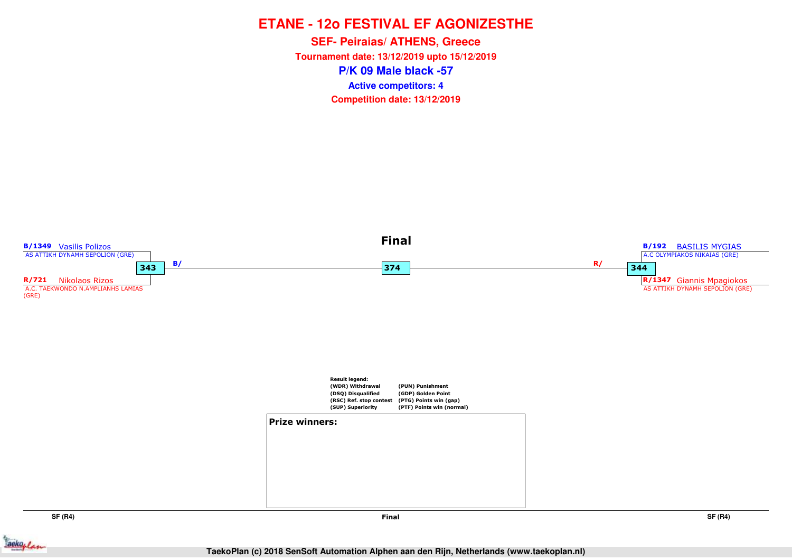**P/K 09 Male black -57SEF- Peiraias/ ATHENS, Greece Tournament date: 13/12/2019 upto 15/12/2019Competition date: 13/12/2019 Active competitors: 4**



**SF (R4)**

**SF (R4)**

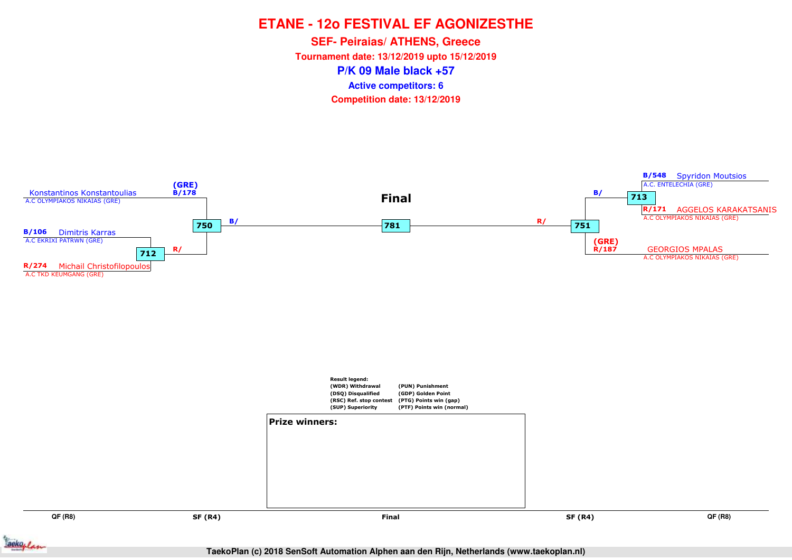**P/K 09 Male black +57SEF- Peiraias/ ATHENS, Greece Tournament date: 13/12/2019 upto 15/12/2019Competition date: 13/12/2019 Active competitors: 6**



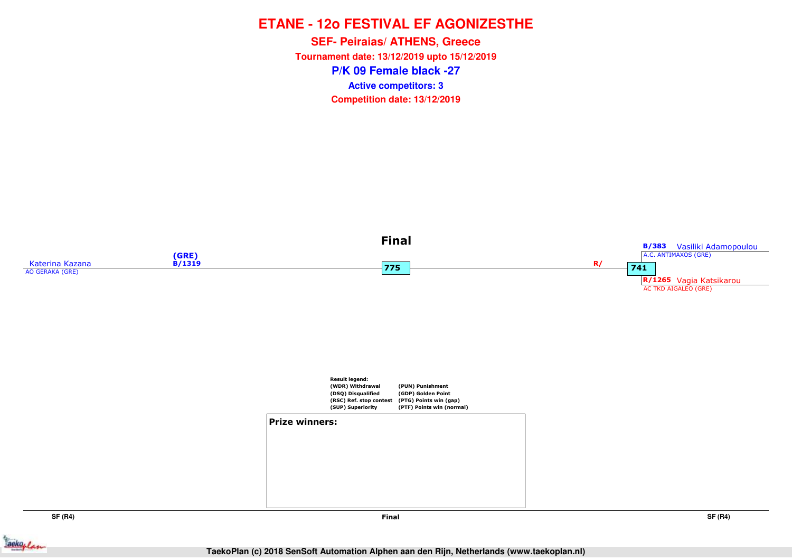**P/K 09 Female black -27SEF- Peiraias/ ATHENS, Greece Tournament date: 13/12/2019 upto 15/12/2019Competition date: 13/12/2019 Active competitors: 3**



aekoplan



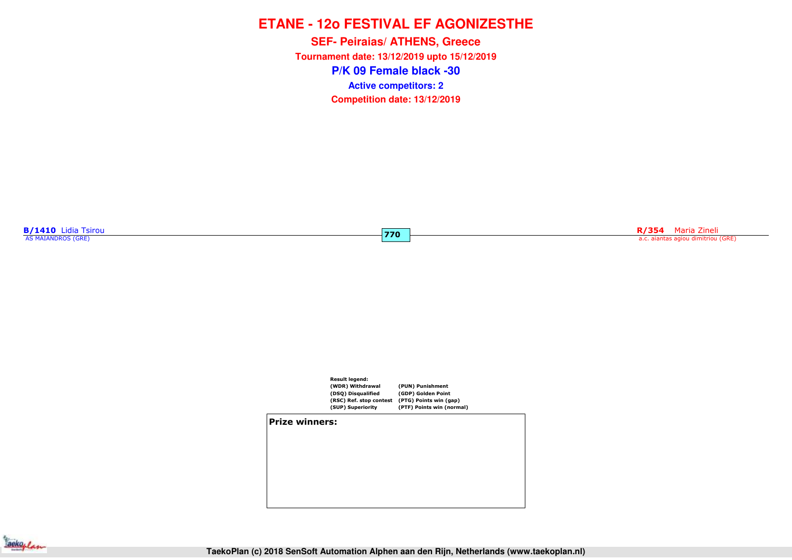**P/K 09 Female black -30SEF- Peiraias/ ATHENS, Greece Tournament date: 13/12/2019 upto 15/12/2019Competition date: 13/12/2019 Active competitors: 2**

**B/1410** Lidia Tsirou

**R/354** Maria Zineli a.c. aiantas agiou dimitriou (GRE) **R/354** Maria Zineli a.c. aiantas agiou dimitriou (GRE)



**770**

**Prize winners:**

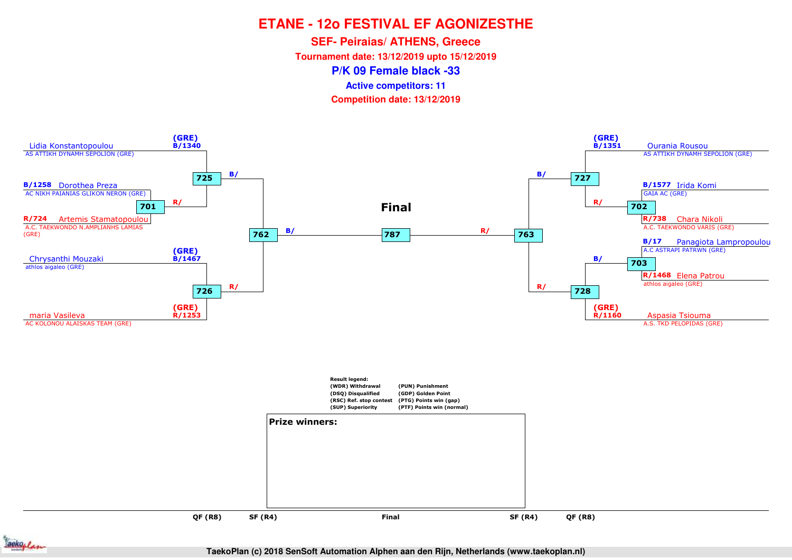**SEF- Peiraias/ ATHENS, Greece**

**Tournament date: 13/12/2019 upto 15/12/2019**

**P/K 09 Female black -33**

**Active competitors: 11**

**Competition date: 13/12/2019**



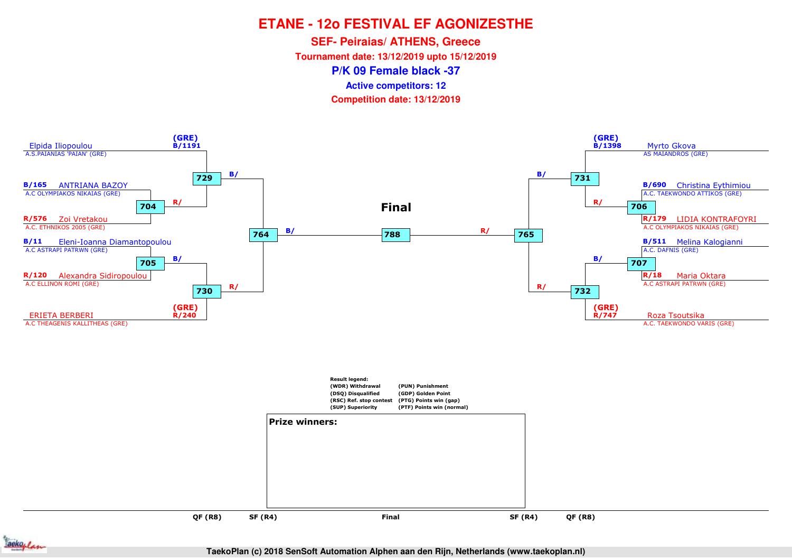**SEF- Peiraias/ ATHENS, Greece**

**Tournament date: 13/12/2019 upto 15/12/2019**

**P/K 09 Female black -37**

**Active competitors: 12**

**Competition date: 13/12/2019**





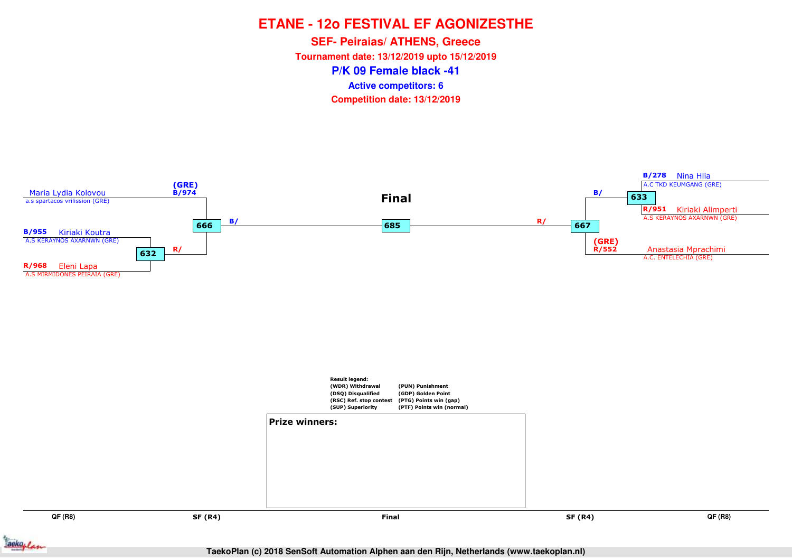**P/K 09 Female black -41SEF- Peiraias/ ATHENS, Greece Tournament date: 13/12/2019 upto 15/12/2019Competition date: 13/12/2019 Active competitors: 6**



ackoflan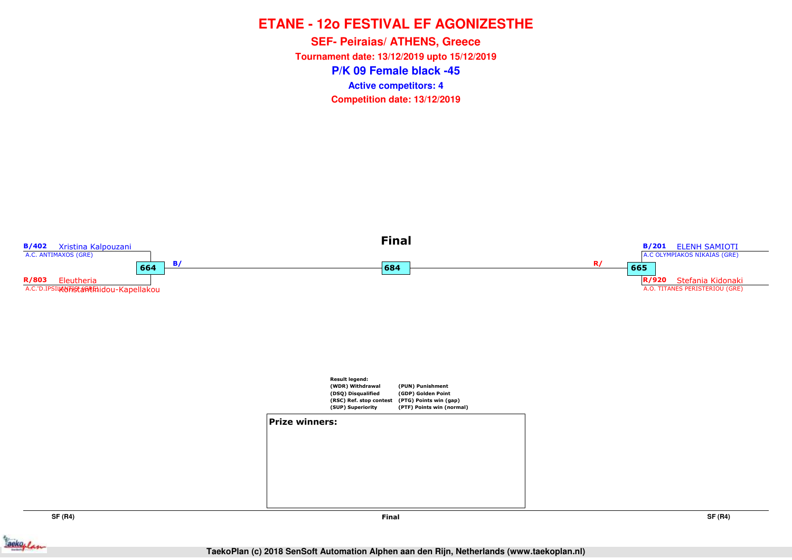**P/K 09 Female black -45SEF- Peiraias/ ATHENS, Greece Tournament date: 13/12/2019 upto 15/12/2019Competition date: 13/12/2019 Active competitors: 4**



**SF (R4)**



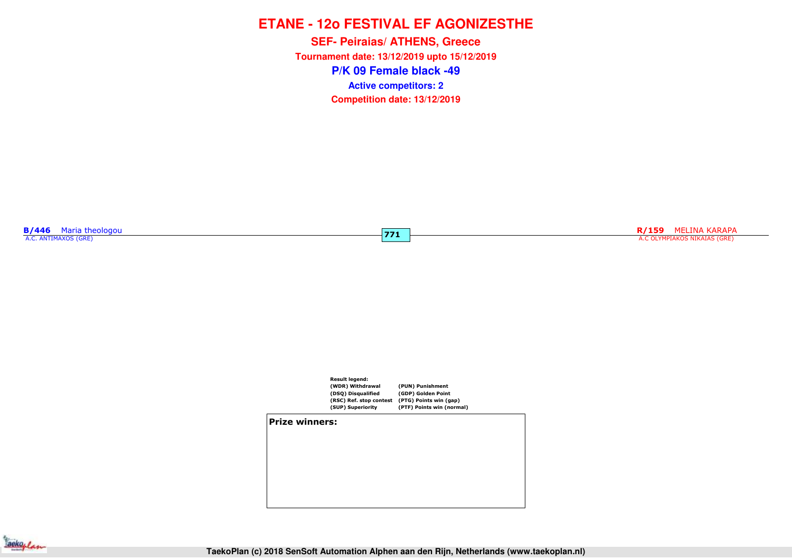**P/K 09 Female black -49SEF- Peiraias/ ATHENS, Greece Tournament date: 13/12/2019 upto 15/12/2019Competition date: 13/12/2019 Active competitors: 2**

**771**

**B/446** Maria theologou<br>A.C. ANTIMAXOS (GRE)

RESERVED AND RESERVED ASSESSED AND RELATION OF THE CONSTRUCTION OF THE CONSTRUCTION OF THE COLYMPIAKOS NIKAIAS (GRE)<br>The color of the color of the color of the color of the color of the color of the color of the color of t



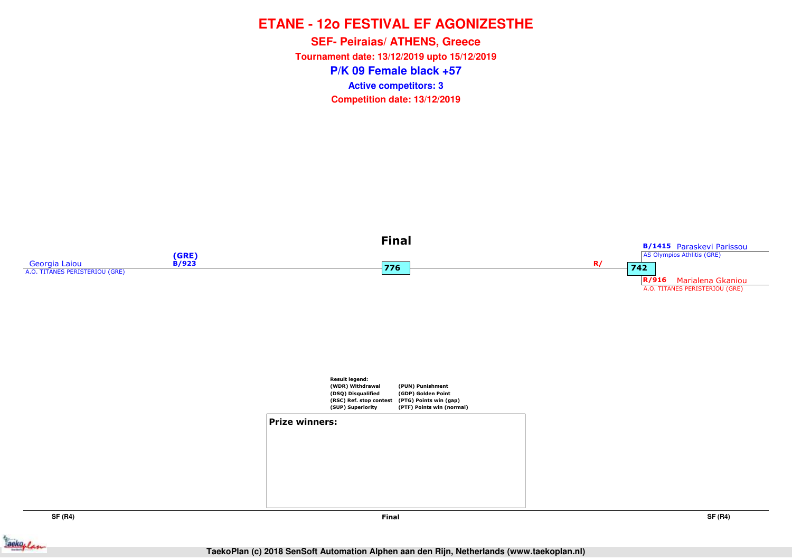**P/K 09 Female black +57SEF- Peiraias/ ATHENS, Greece Tournament date: 13/12/2019 upto 15/12/2019Competition date: 13/12/2019 Active competitors: 3**



**SF (R4)**

**Final**

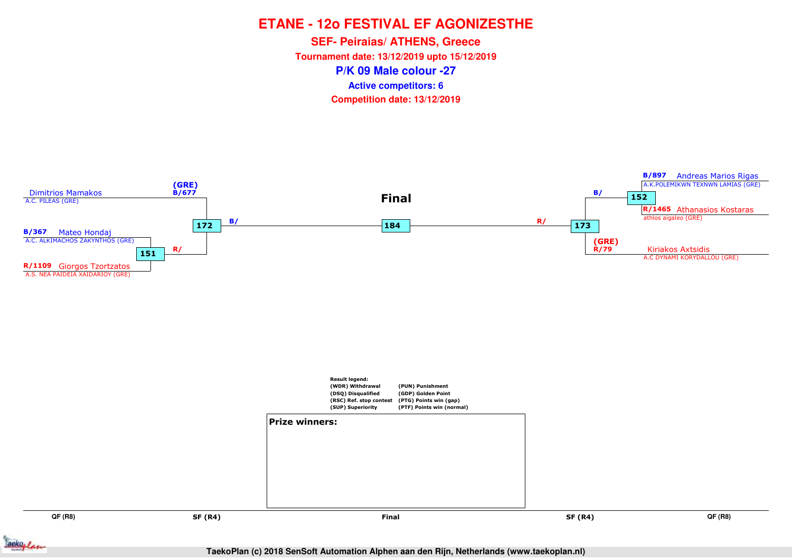**P/K 09 Male colour -27SEF- Peiraias/ ATHENS, Greece Tournament date: 13/12/2019 upto 15/12/2019Competition date: 13/12/2019 Active competitors: 6**



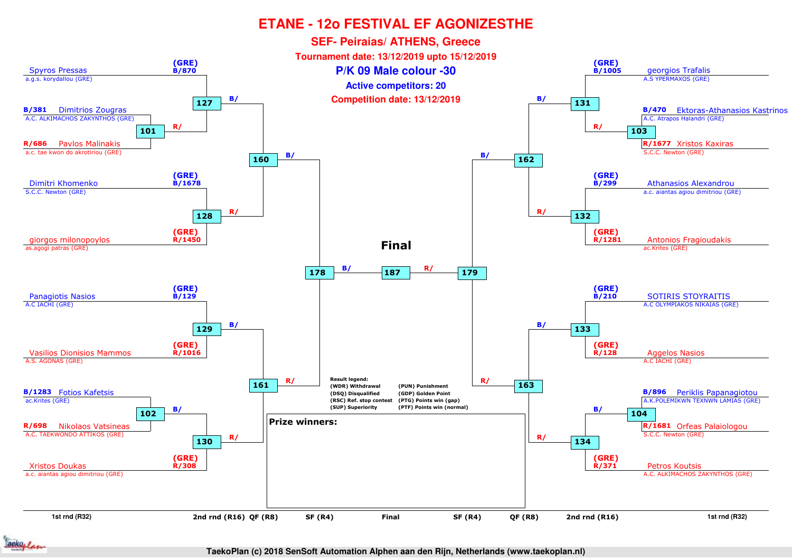

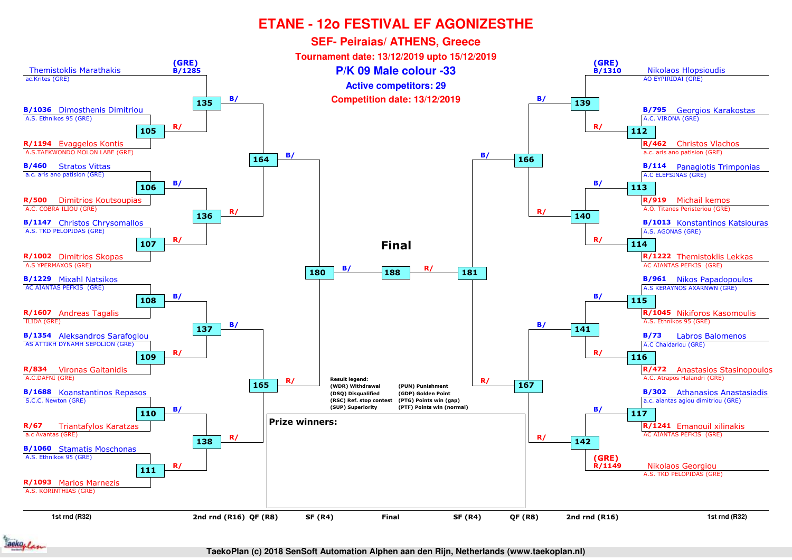

ackoflan

**TaekoPlan (c) 2018 SenSoft Automation Alphen aan den Rijn, Netherlands (www.taekoplan.nl)**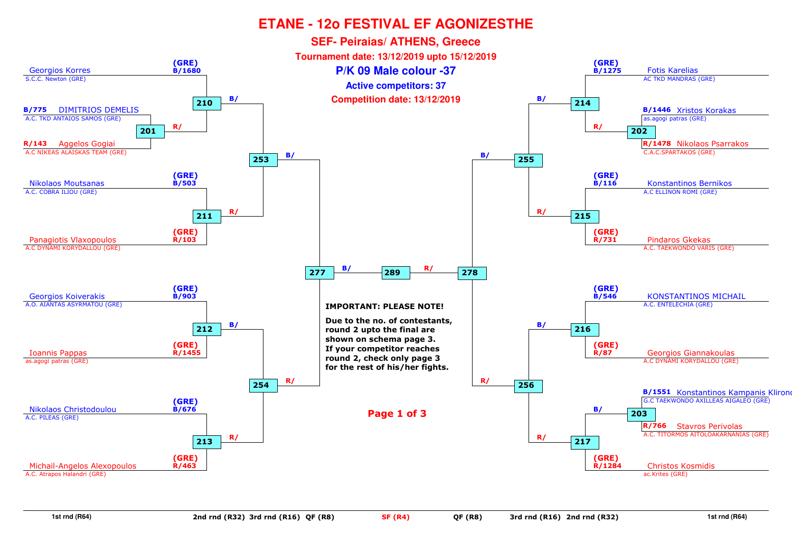

**1st rnd (R64)**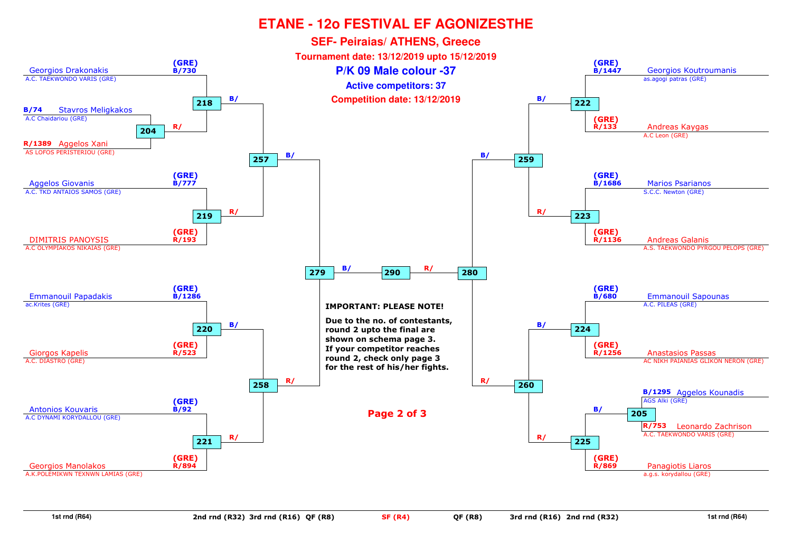

**1st rnd (R64)**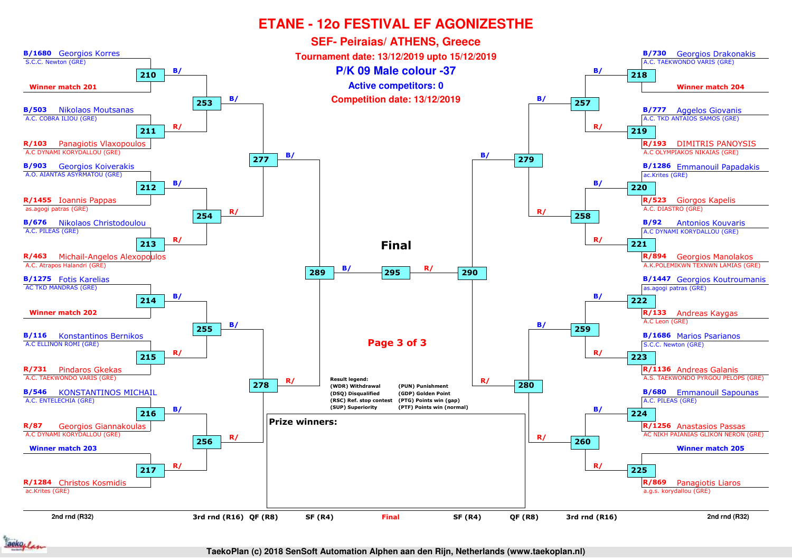

ackoplan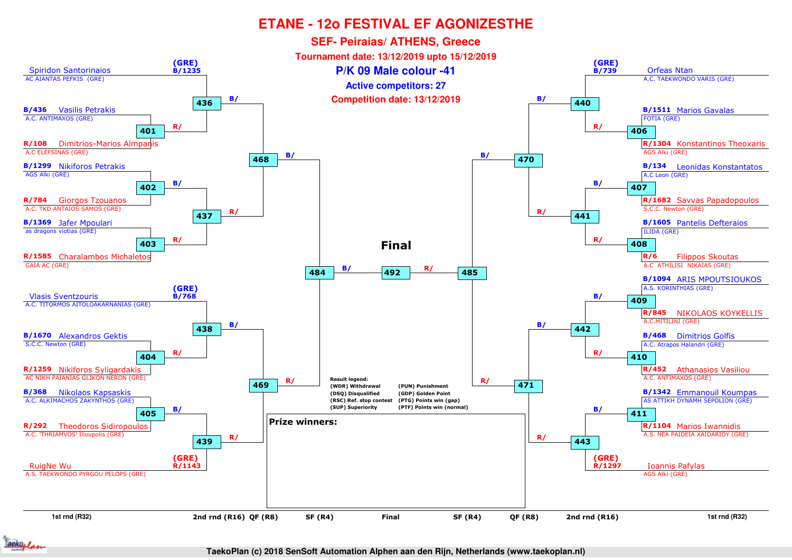

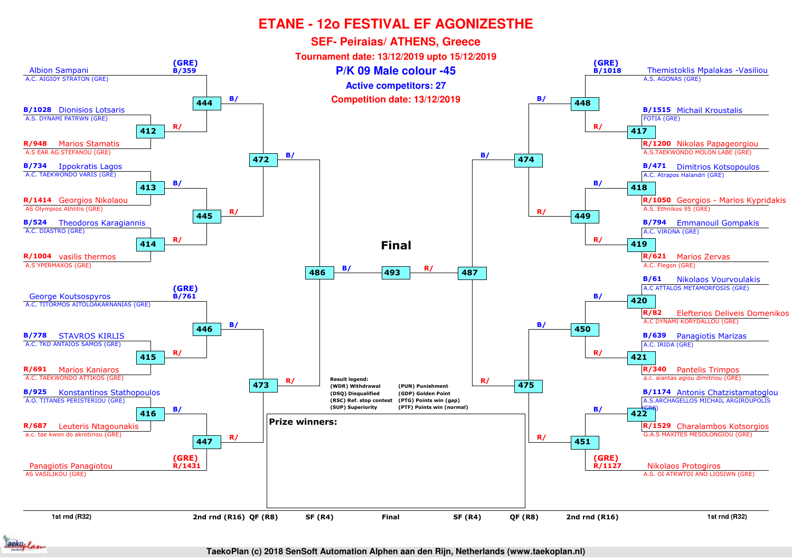

aeko, /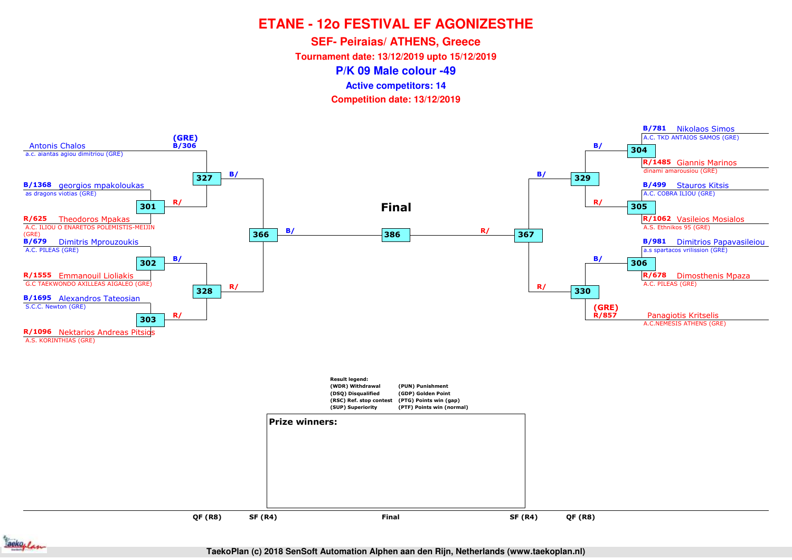**SEF- Peiraias/ ATHENS, Greece**

**Tournament date: 13/12/2019 upto 15/12/2019**

**P/K 09 Male colour -49**

**Active competitors: 14**

**Competition date: 13/12/2019**



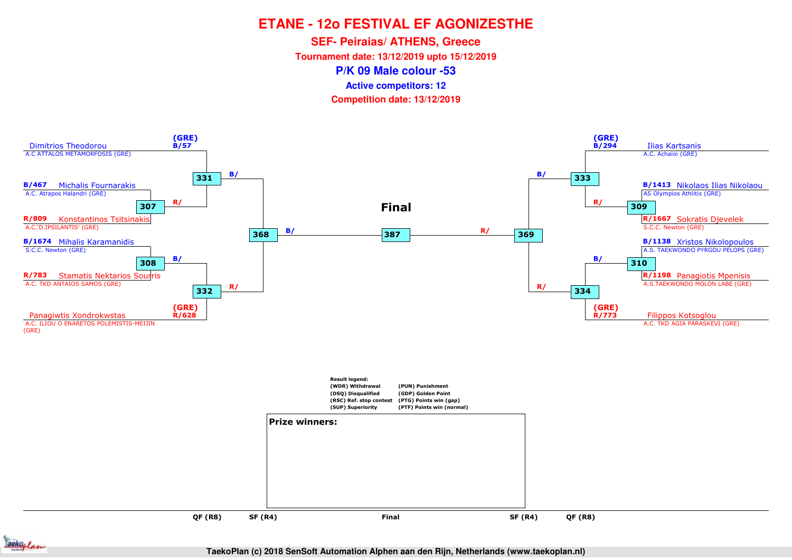**SEF- Peiraias/ ATHENS, Greece**

**Tournament date: 13/12/2019 upto 15/12/2019**

**P/K 09 Male colour -53**

**Active competitors: 12**

**Competition date: 13/12/2019**



ackoplan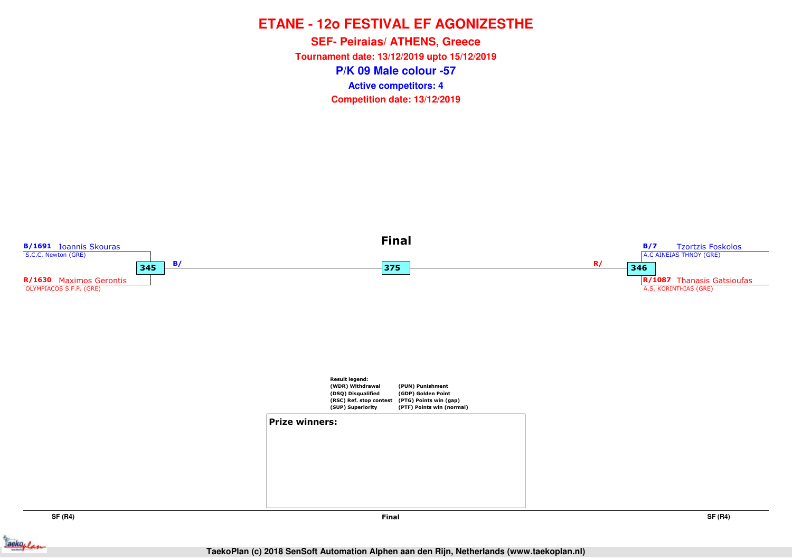**P/K 09 Male colour -57SEF- Peiraias/ ATHENS, Greece Tournament date: 13/12/2019 upto 15/12/2019Competition date: 13/12/2019 Active competitors: 4**



**SF (R4)**

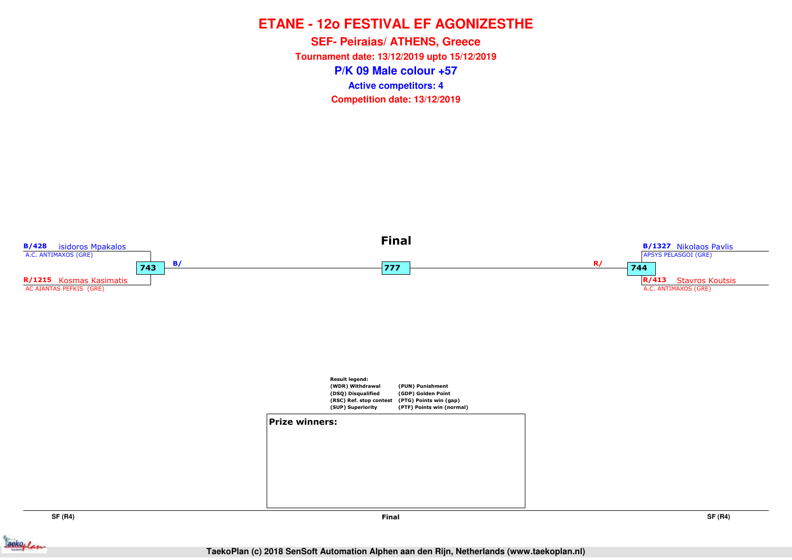**P/K 09 Male colour +57SEF- Peiraias/ ATHENS, Greece Tournament date: 13/12/2019 upto 15/12/2019Competition date: 13/12/2019 Active competitors: 4**



**SF (R4)**

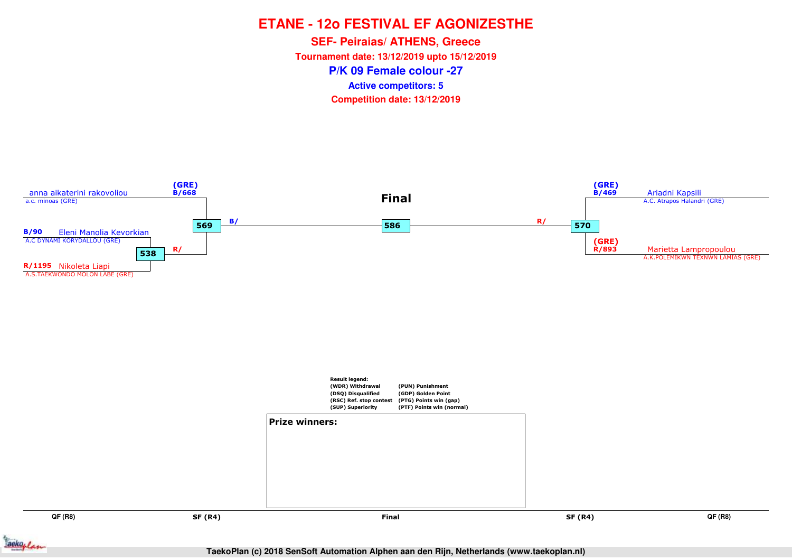**P/K 09 Female colour -27SEF- Peiraias/ ATHENS, Greece Tournament date: 13/12/2019 upto 15/12/2019Competition date: 13/12/2019 Active competitors: 5**

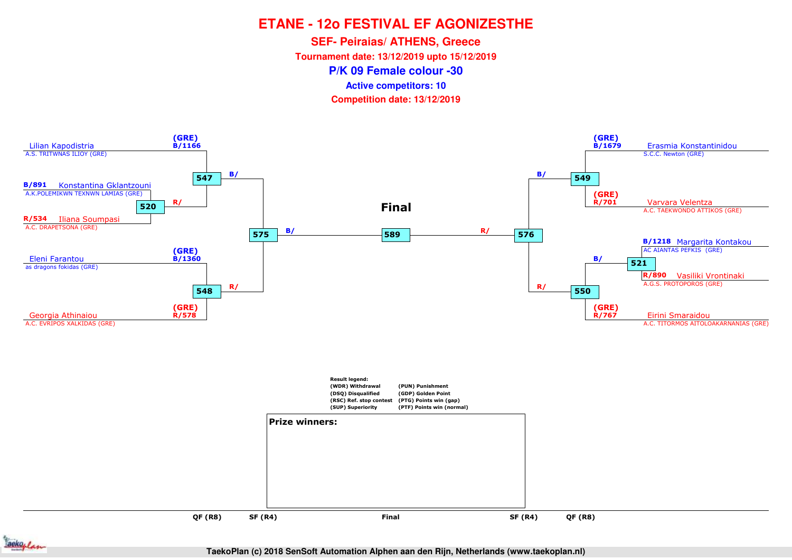**SEF- Peiraias/ ATHENS, Greece**

**Tournament date: 13/12/2019 upto 15/12/2019**

**P/K 09 Female colour -30**

**Active competitors: 10**

**Competition date: 13/12/2019**



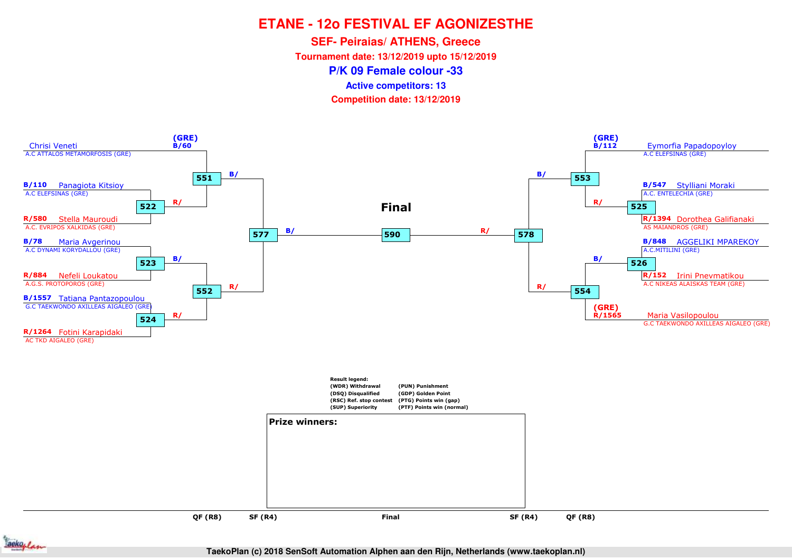**SEF- Peiraias/ ATHENS, Greece**

**Tournament date: 13/12/2019 upto 15/12/2019**

**P/K 09 Female colour -33**

**Active competitors: 13**

**Competition date: 13/12/2019**



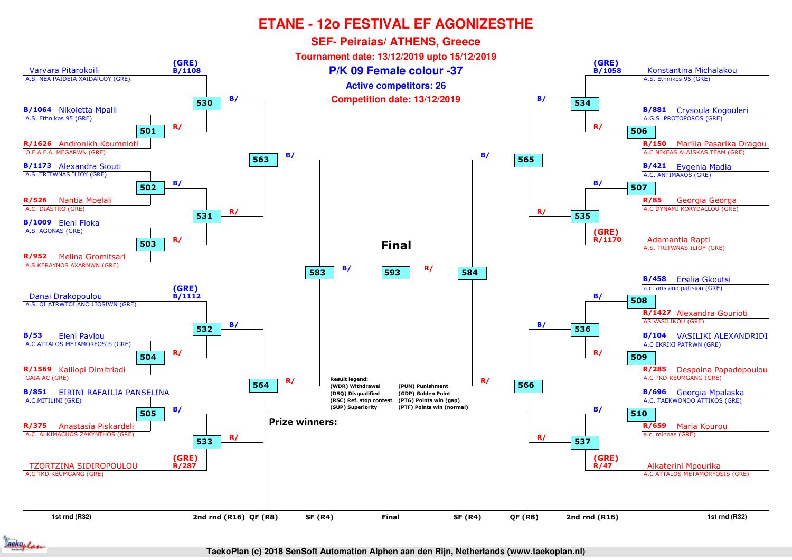

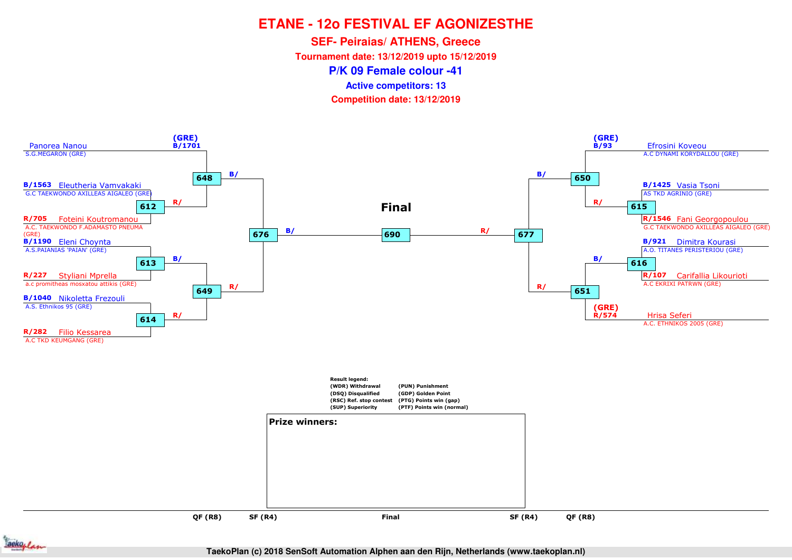**SEF- Peiraias/ ATHENS, Greece**

**Tournament date: 13/12/2019 upto 15/12/2019**

**P/K 09 Female colour -41**

**Active competitors: 13**

**Competition date: 13/12/2019**



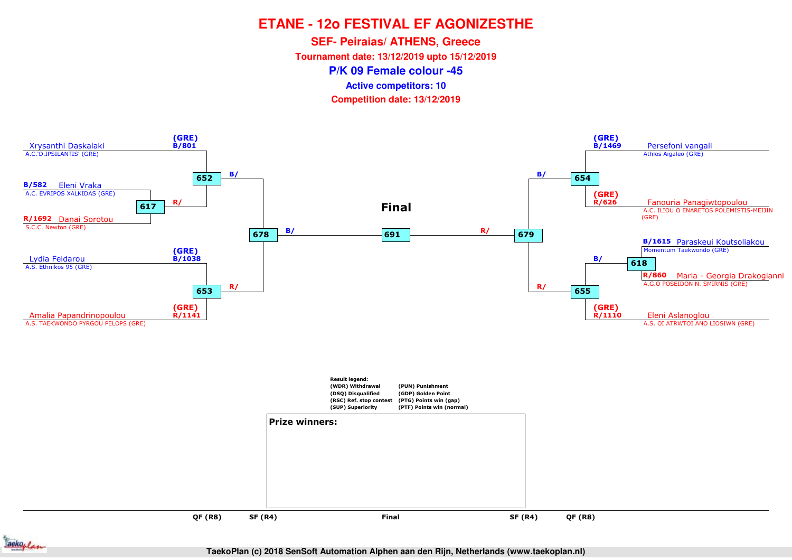**SEF- Peiraias/ ATHENS, Greece**

**Tournament date: 13/12/2019 upto 15/12/2019**

**P/K 09 Female colour -45**

**Active competitors: 10**

**Competition date: 13/12/2019**



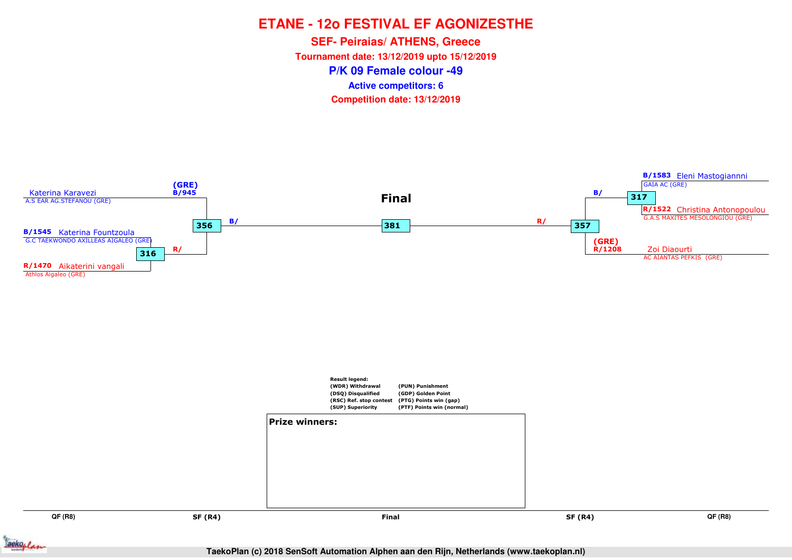**P/K 09 Female colour -49SEF- Peiraias/ ATHENS, Greece Tournament date: 13/12/2019 upto 15/12/2019Competition date: 13/12/2019 Active competitors: 6**

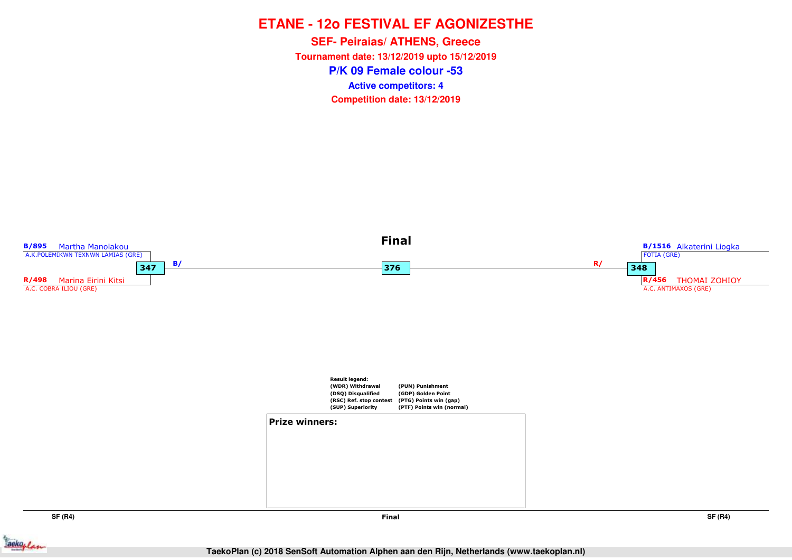**P/K 09 Female colour -53SEF- Peiraias/ ATHENS, Greece Tournament date: 13/12/2019 upto 15/12/2019Competition date: 13/12/2019 Active competitors: 4**



**SF (R4)**

**SF (R4)**

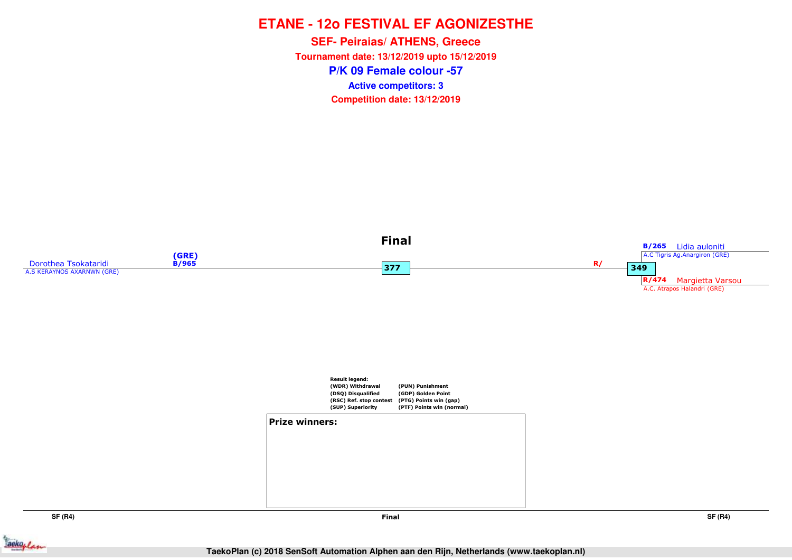**P/K 09 Female colour -57SEF- Peiraias/ ATHENS, Greece Tournament date: 13/12/2019 upto 15/12/2019Competition date: 13/12/2019 Active competitors: 3**



**SF (R4)**



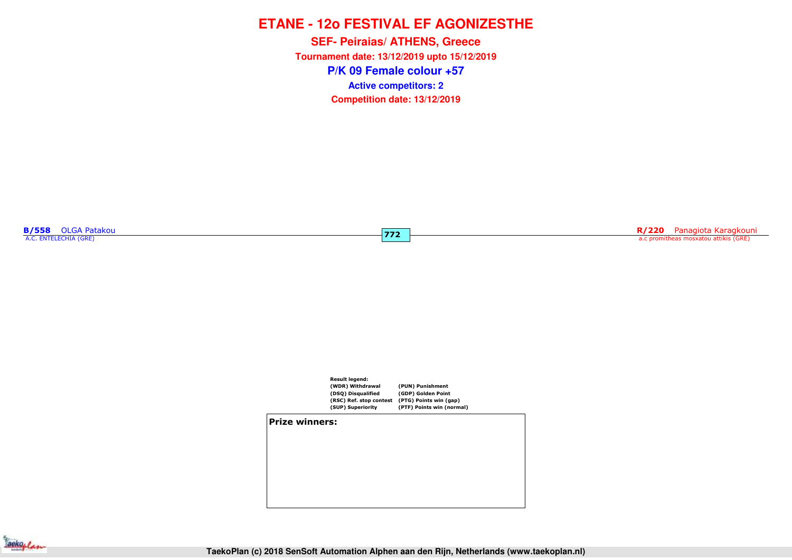**P/K 09 Female colour +57SEF- Peiraias/ ATHENS, Greece Tournament date: 13/12/2019 upto 15/12/2019Competition date: 13/12/2019 Active competitors: 2**

**772**

**B/558** OLGA Patakou

**R/220** Panagiota Karagkouni a.c promitheas mosxatou attikis (GRE)



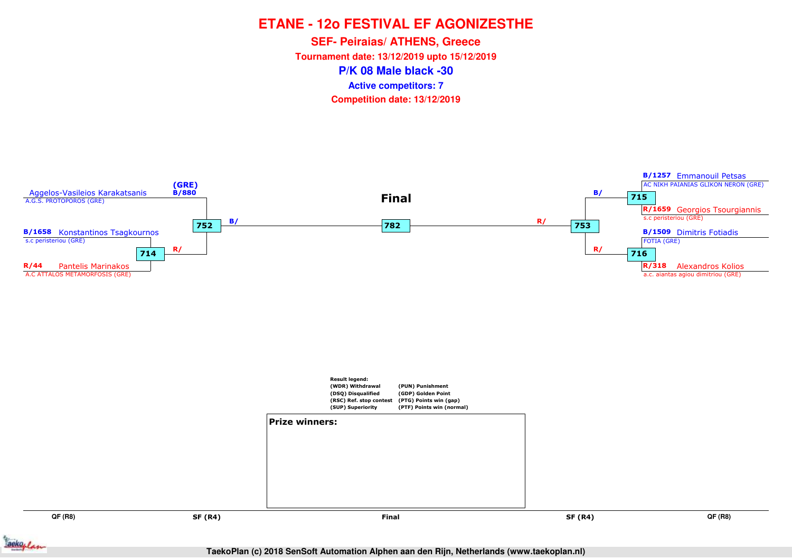**P/K 08 Male black -30SEF- Peiraias/ ATHENS, Greece Tournament date: 13/12/2019 upto 15/12/2019Competition date: 13/12/2019 Active competitors: 7**



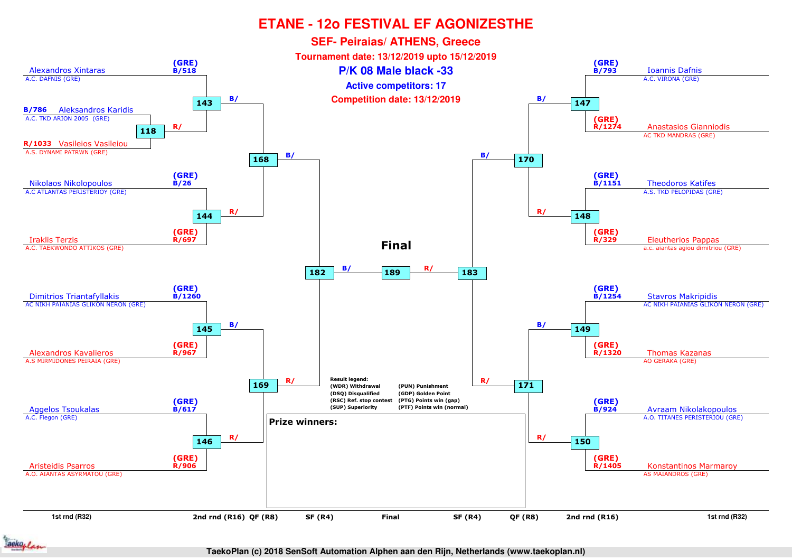

ackoplan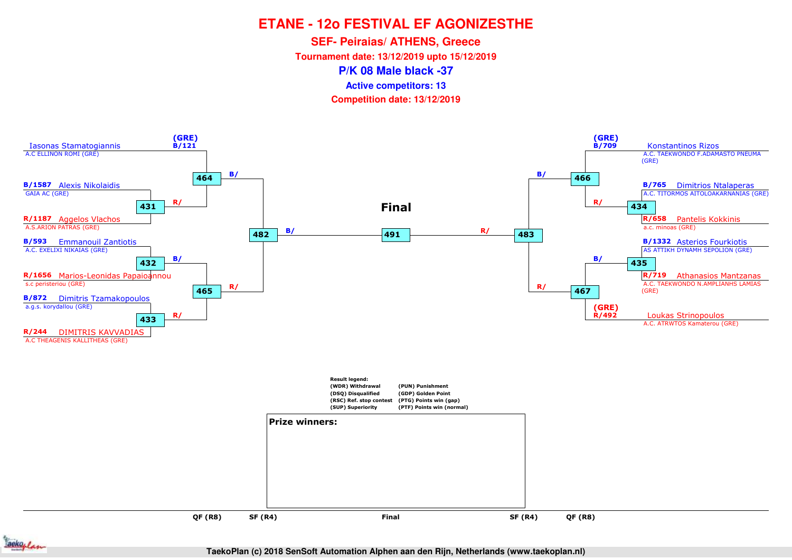**SEF- Peiraias/ ATHENS, Greece**

**Tournament date: 13/12/2019 upto 15/12/2019**

**P/K 08 Male black -37**

**Active competitors: 13**

**Competition date: 13/12/2019**



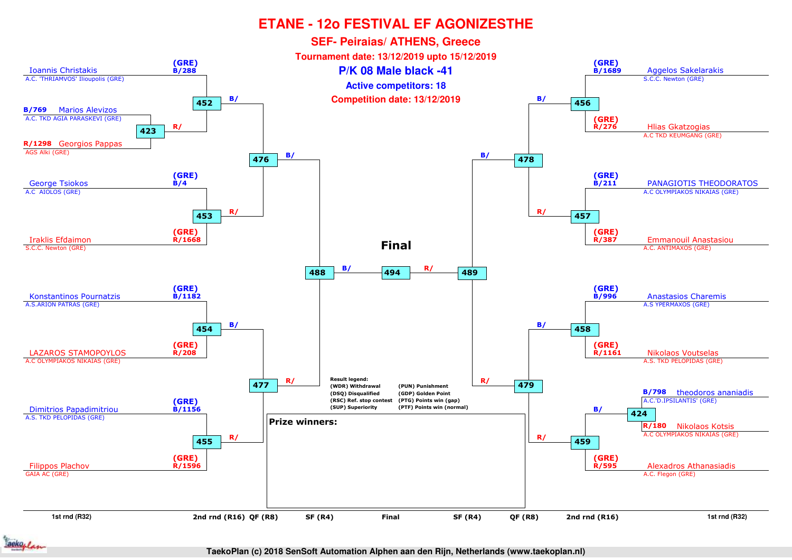

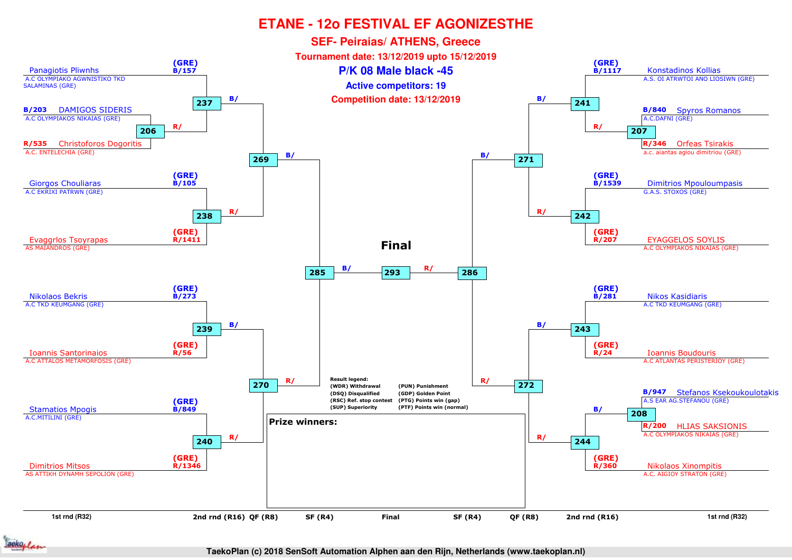

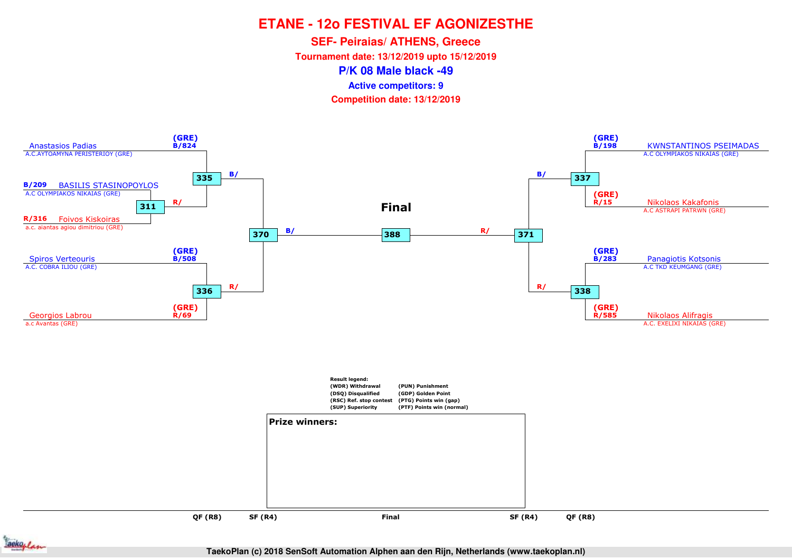**SEF- Peiraias/ ATHENS, Greece**

**Tournament date: 13/12/2019 upto 15/12/2019**

**P/K 08 Male black -49**

**Active competitors: 9**

**Competition date: 13/12/2019**



ackoplan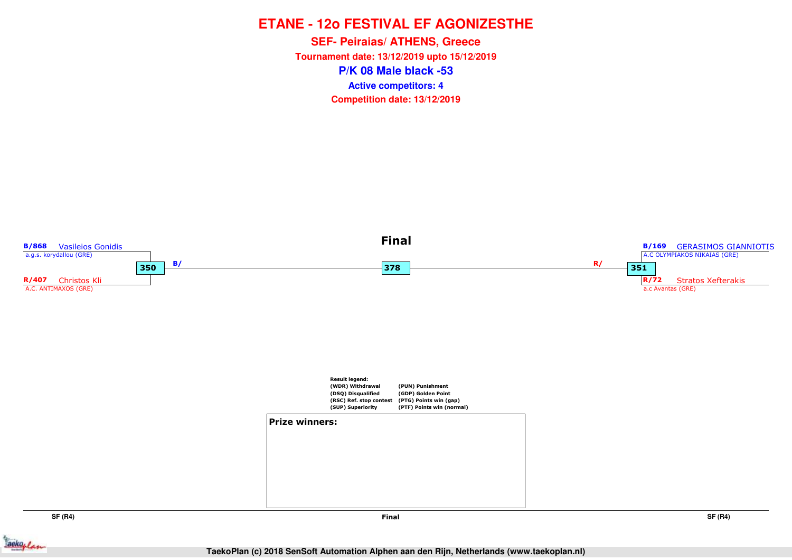**P/K 08 Male black -53SEF- Peiraias/ ATHENS, Greece Tournament date: 13/12/2019 upto 15/12/2019Competition date: 13/12/2019 Active competitors: 4**



**SF (R4)**

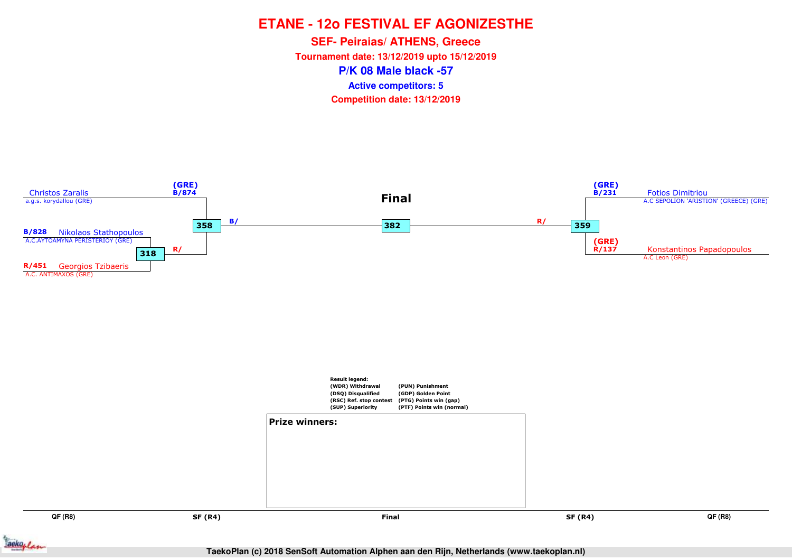**P/K 08 Male black -57SEF- Peiraias/ ATHENS, Greece Tournament date: 13/12/2019 upto 15/12/2019Competition date: 13/12/2019 Active competitors: 5**



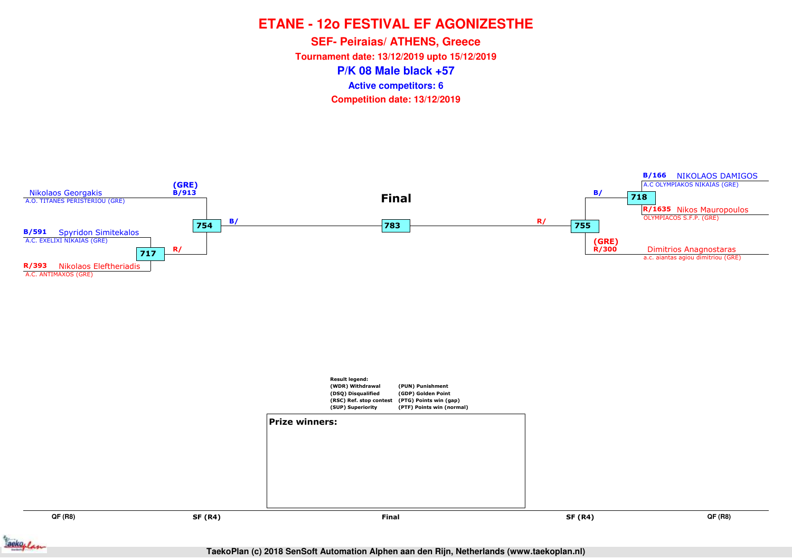**P/K 08 Male black +57SEF- Peiraias/ ATHENS, Greece Tournament date: 13/12/2019 upto 15/12/2019Competition date: 13/12/2019 Active competitors: 6**



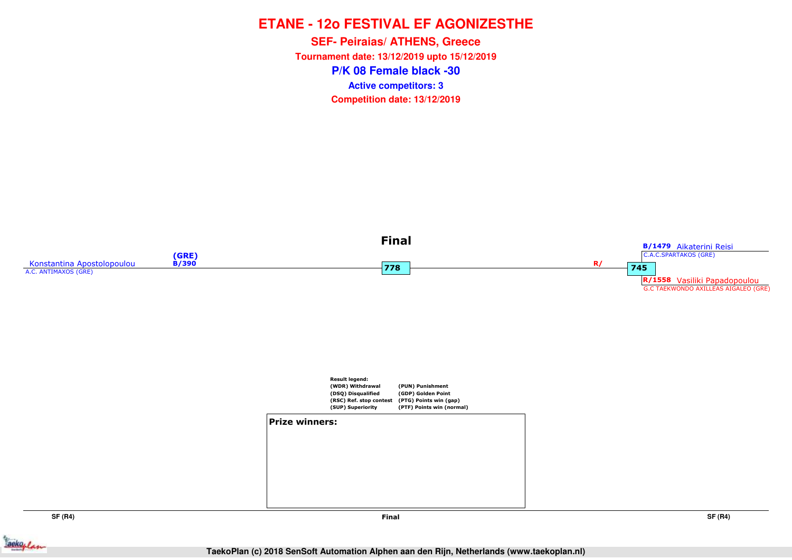**P/K 08 Female black -30SEF- Peiraias/ ATHENS, Greece Tournament date: 13/12/2019 upto 15/12/2019Competition date: 13/12/2019 Active competitors: 3**



**SF (R4)**

**Final**

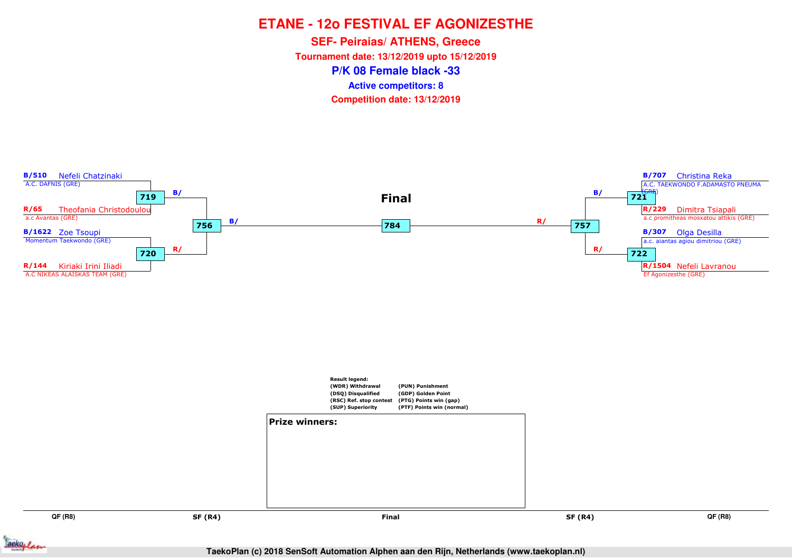**P/K 08 Female black -33SEF- Peiraias/ ATHENS, Greece Tournament date: 13/12/2019 upto 15/12/2019Competition date: 13/12/2019 Active competitors: 8**



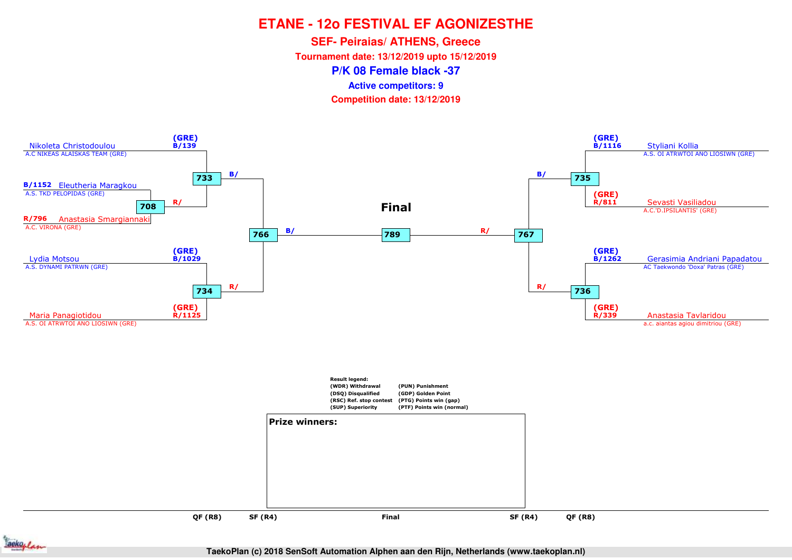**SEF- Peiraias/ ATHENS, Greece**

**Tournament date: 13/12/2019 upto 15/12/2019**

**P/K 08 Female black -37**

**Active competitors: 9**

**Competition date: 13/12/2019**



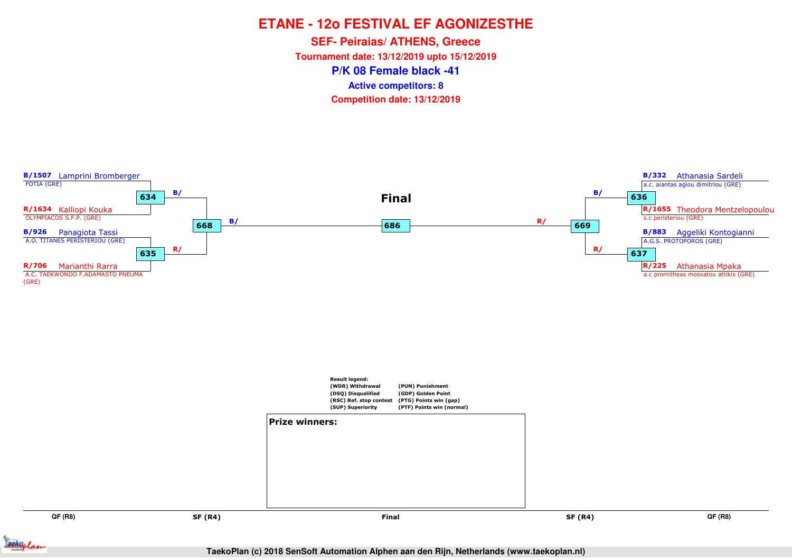**P/K 08 Female black -41SEF- Peiraias/ ATHENS, Greece Tournament date: 13/12/2019 upto 15/12/2019Competition date: 13/12/2019 Active competitors: 8**



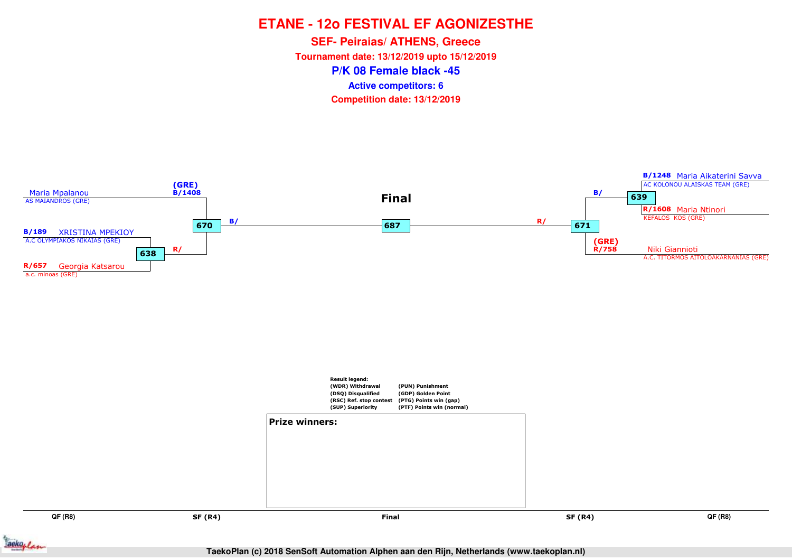**P/K 08 Female black -45SEF- Peiraias/ ATHENS, Greece Tournament date: 13/12/2019 upto 15/12/2019Competition date: 13/12/2019 Active competitors: 6**

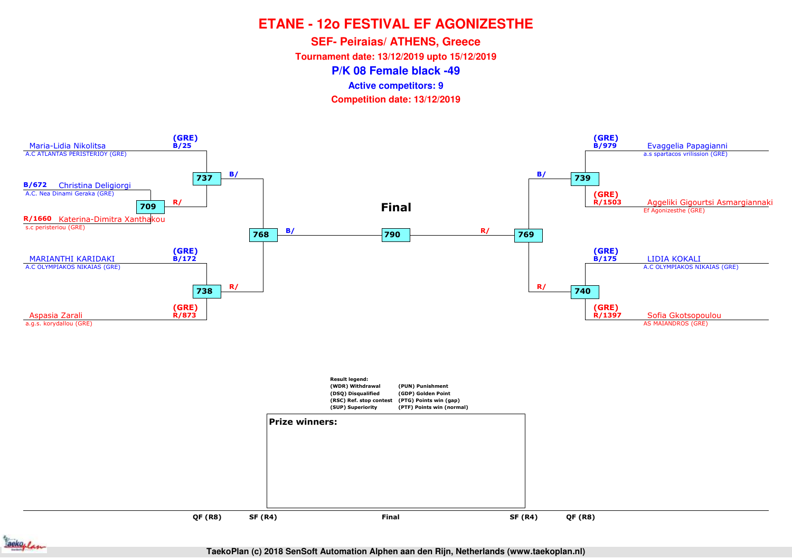**SEF- Peiraias/ ATHENS, Greece**

**Tournament date: 13/12/2019 upto 15/12/2019**

**P/K 08 Female black -49**

**Active competitors: 9**

**Competition date: 13/12/2019**



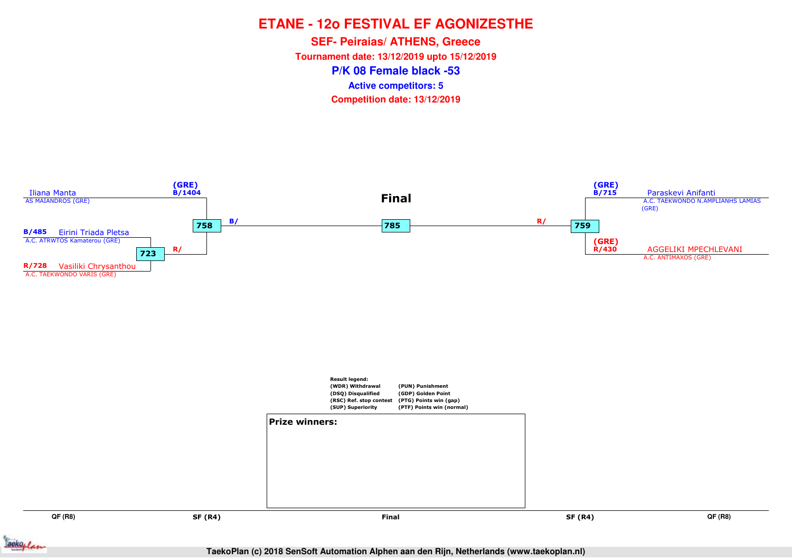**P/K 08 Female black -53SEF- Peiraias/ ATHENS, Greece Tournament date: 13/12/2019 upto 15/12/2019Competition date: 13/12/2019 Active competitors: 5**



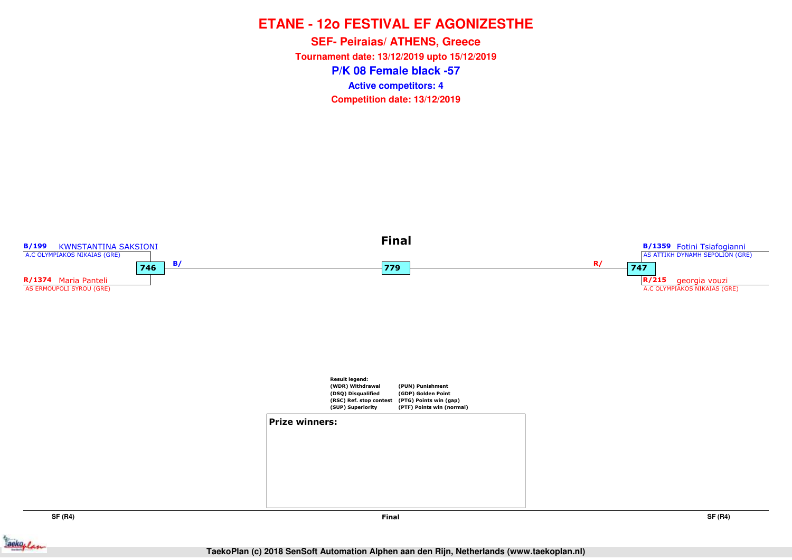**P/K 08 Female black -57SEF- Peiraias/ ATHENS, Greece Tournament date: 13/12/2019 upto 15/12/2019Competition date: 13/12/2019 Active competitors: 4**



**SF (R4)**

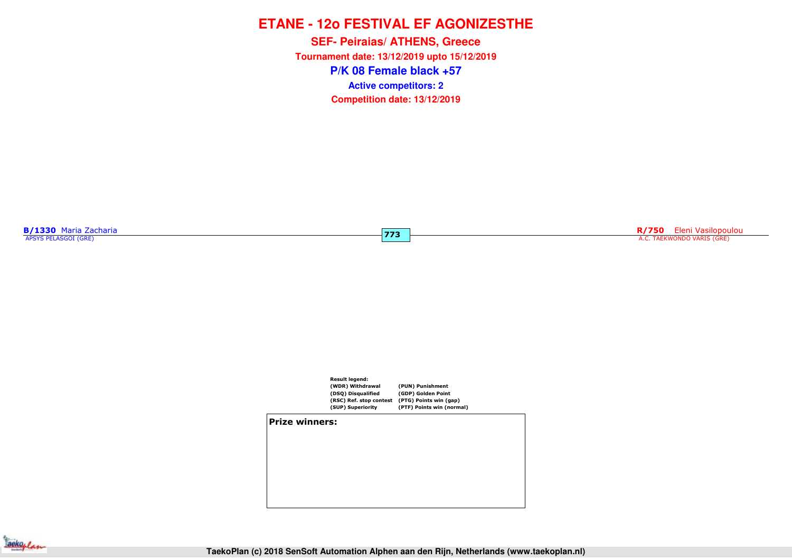**P/K 08 Female black +57SEF- Peiraias/ ATHENS, Greece Tournament date: 13/12/2019 upto 15/12/2019Competition date: 13/12/2019 Active competitors: 2**

**B/1330** Maria Zacharia

**R/750** Eleni Vasilopoulou and a characterization of the control of the control of the control of the control of the control of the control of the control of the control of the control of the control of the control of the



**773**

**Prize winners:**

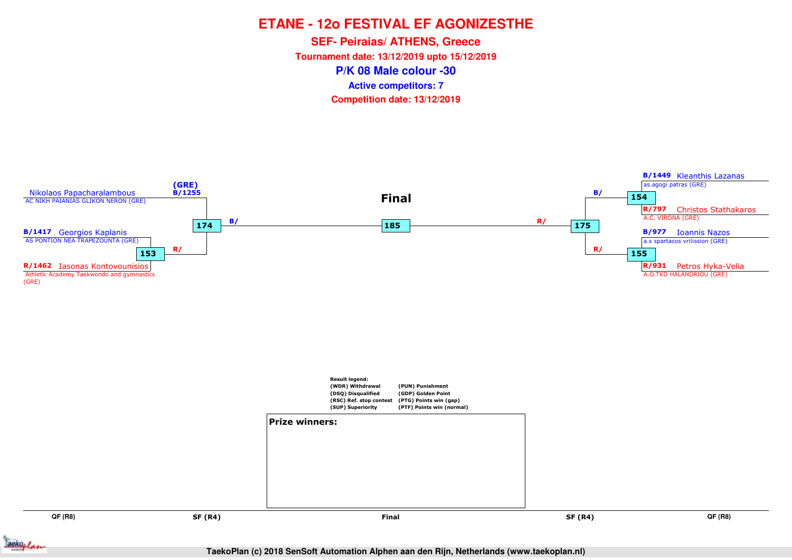**P/K 08 Male colour -30SEF- Peiraias/ ATHENS, Greece Tournament date: 13/12/2019 upto 15/12/2019Competition date: 13/12/2019 Active competitors: 7**



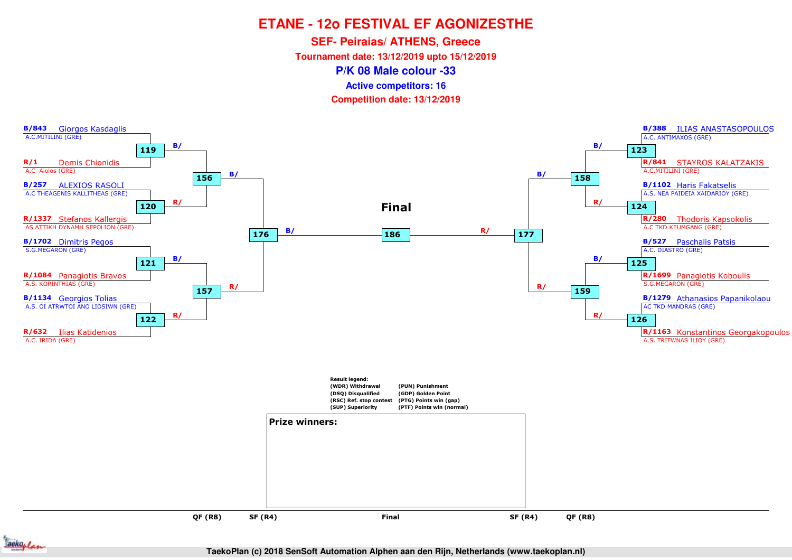**SEF- Peiraias/ ATHENS, Greece**

**Tournament date: 13/12/2019 upto 15/12/2019**

**P/K 08 Male colour -33**

**Active competitors: 16**

**Competition date: 13/12/2019**



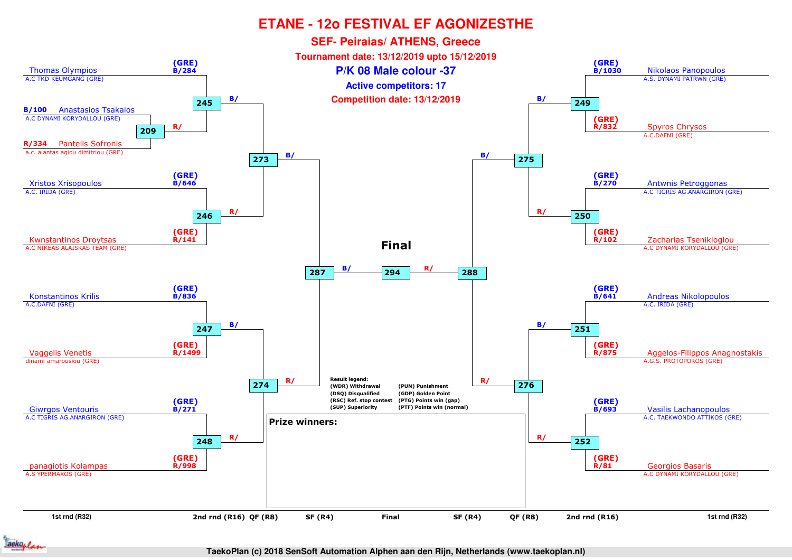

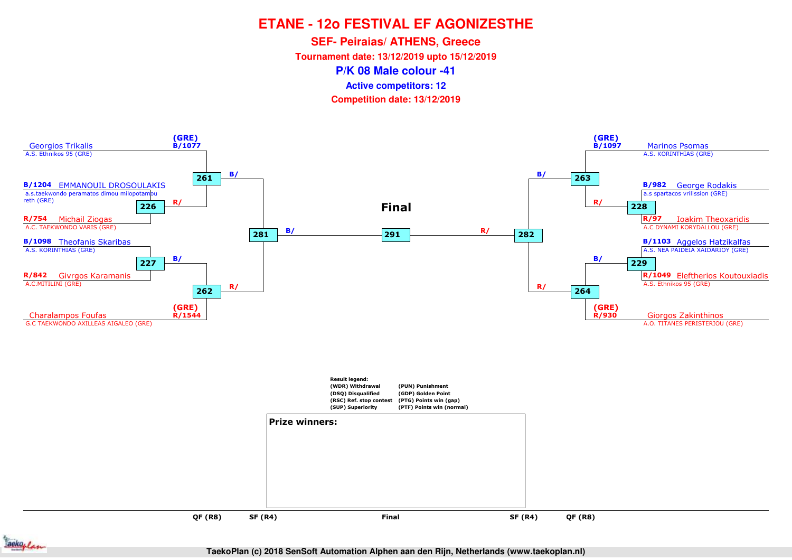**SEF- Peiraias/ ATHENS, Greece**

**Tournament date: 13/12/2019 upto 15/12/2019**

**P/K 08 Male colour -41**

**Active competitors: 12**

**Competition date: 13/12/2019**



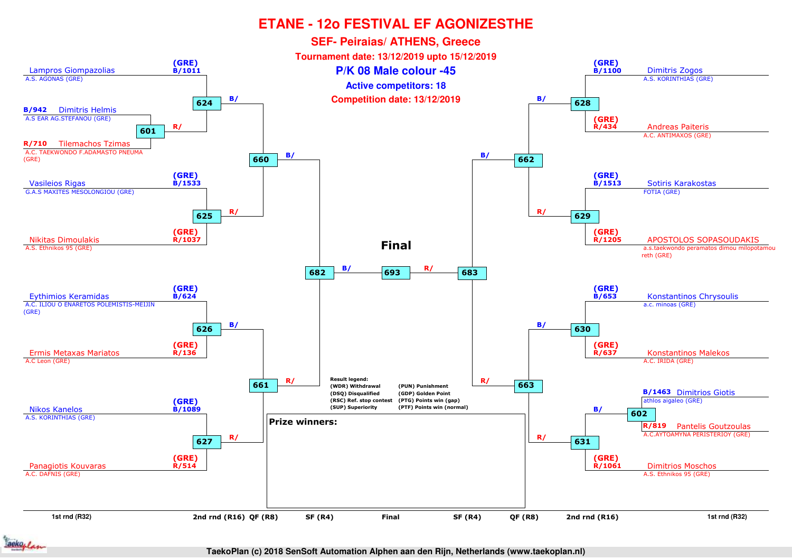

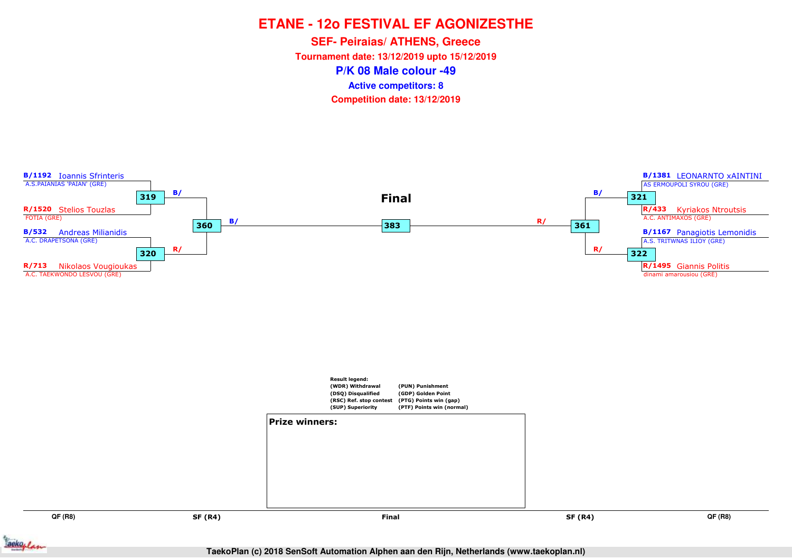**P/K 08 Male colour -49SEF- Peiraias/ ATHENS, Greece Tournament date: 13/12/2019 upto 15/12/2019Competition date: 13/12/2019 Active competitors: 8**



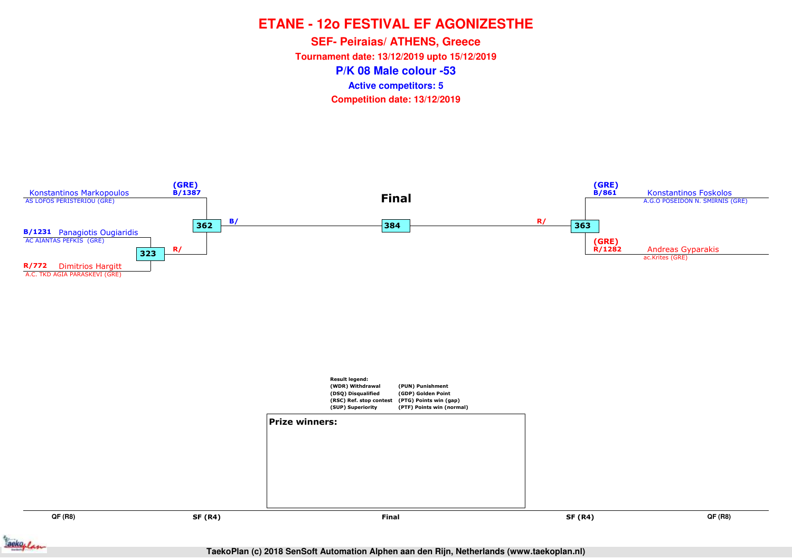**P/K 08 Male colour -53SEF- Peiraias/ ATHENS, Greece Tournament date: 13/12/2019 upto 15/12/2019Competition date: 13/12/2019 Active competitors: 5**

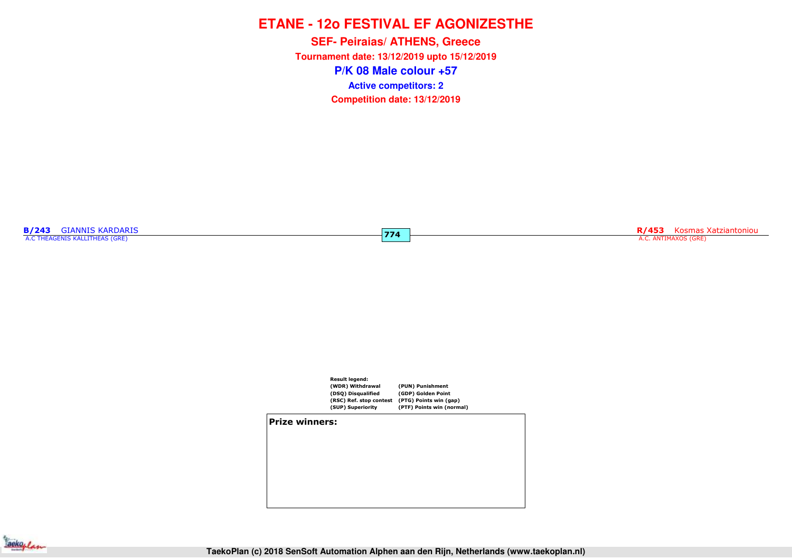**P/K 08 Male colour +57SEF- Peiraias/ ATHENS, Greece Tournament date: 13/12/2019 upto 15/12/2019Competition date: 13/12/2019 Active competitors: 2**

**774**

**B/243** GIANNIS KARDARIS<br>A.C THEAGENIS KALLITHEAS (GRE)

**R/453** Kosmas Xatziantoniou A.C. ANTIMAXOS (GRE)



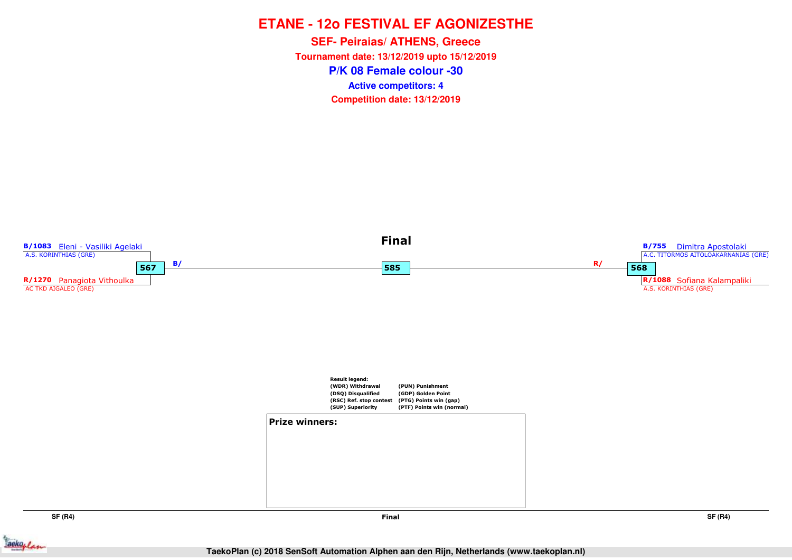**P/K 08 Female colour -30SEF- Peiraias/ ATHENS, Greece Tournament date: 13/12/2019 upto 15/12/2019Competition date: 13/12/2019 Active competitors: 4**



**SF (R4)**

**SF (R4)**

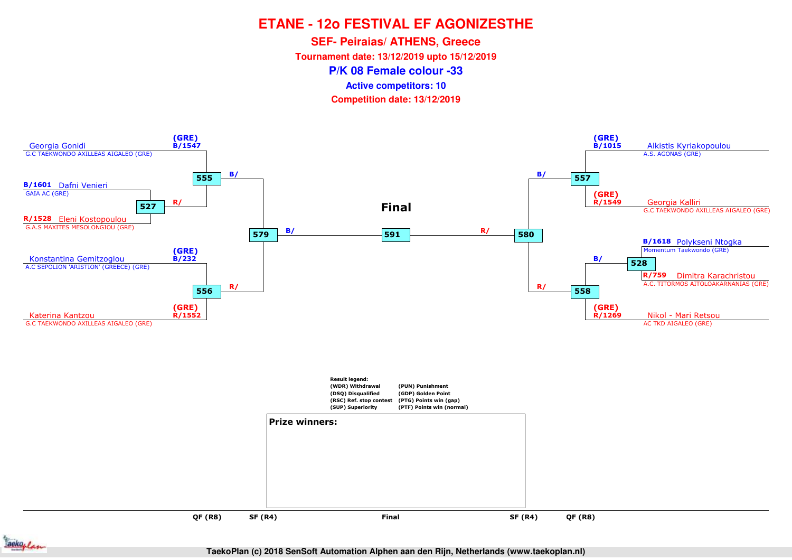**SEF- Peiraias/ ATHENS, Greece**

**Tournament date: 13/12/2019 upto 15/12/2019**

**P/K 08 Female colour -33**

**Active competitors: 10**

**Competition date: 13/12/2019**



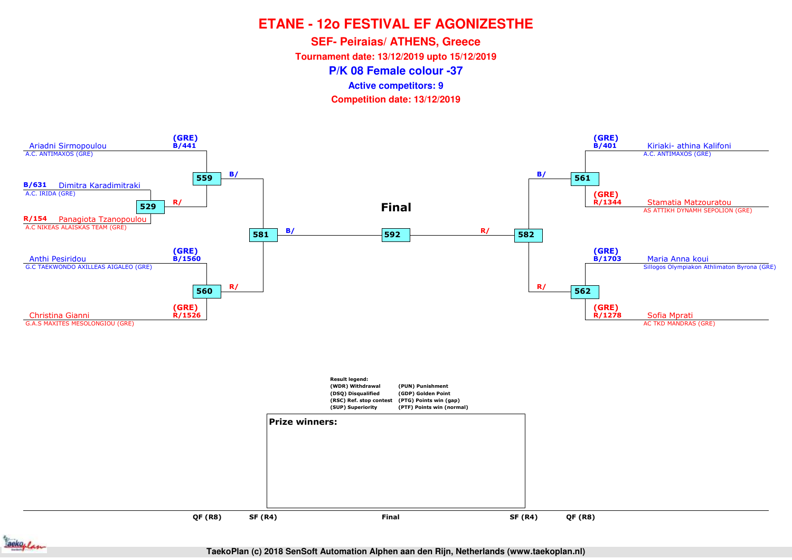**SEF- Peiraias/ ATHENS, Greece**

**Tournament date: 13/12/2019 upto 15/12/2019**

**P/K 08 Female colour -37**

**Active competitors: 9**

**Competition date: 13/12/2019**



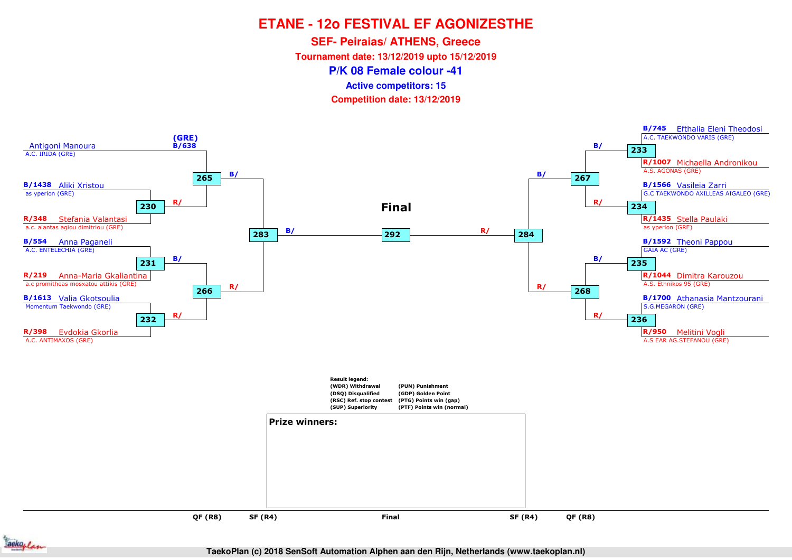**SEF- Peiraias/ ATHENS, Greece**

**Tournament date: 13/12/2019 upto 15/12/2019**

**P/K 08 Female colour -41**

**Active competitors: 15**

**Competition date: 13/12/2019**



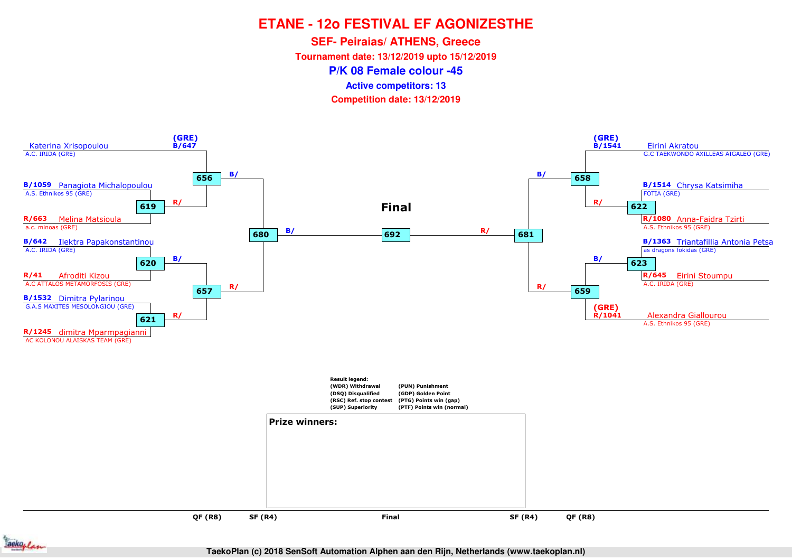**SEF- Peiraias/ ATHENS, Greece**

**Tournament date: 13/12/2019 upto 15/12/2019**

**P/K 08 Female colour -45**

**Active competitors: 13**

**Competition date: 13/12/2019**



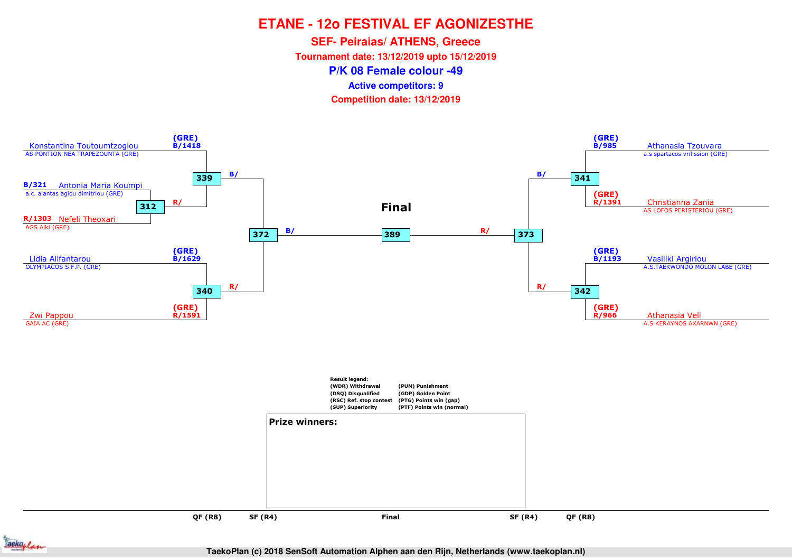**SEF- Peiraias/ ATHENS, Greece**

**Tournament date: 13/12/2019 upto 15/12/2019**

**P/K 08 Female colour -49**

**Active competitors: 9**

**Competition date: 13/12/2019**



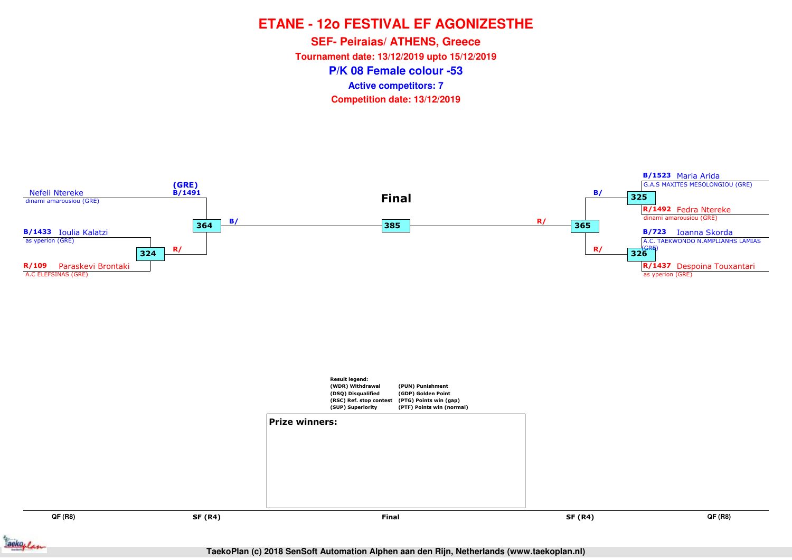**P/K 08 Female colour -53SEF- Peiraias/ ATHENS, Greece Tournament date: 13/12/2019 upto 15/12/2019Competition date: 13/12/2019 Active competitors: 7**



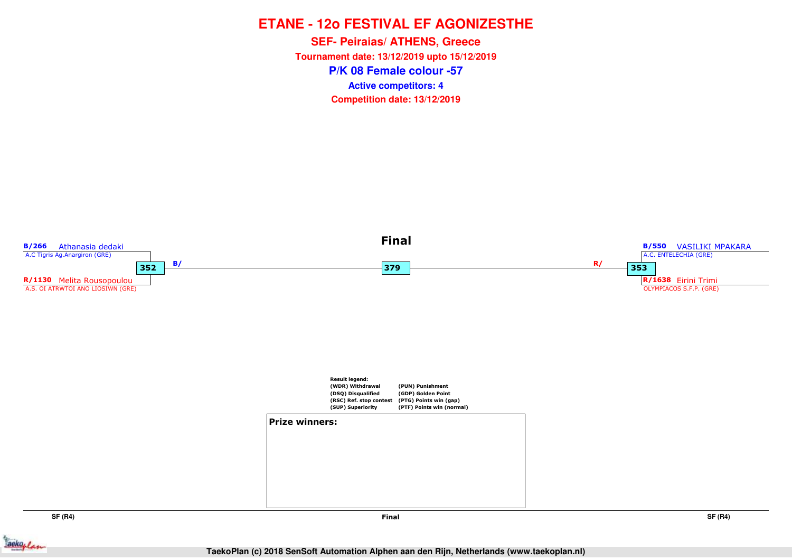## **ETANE - 12o FESTIVAL EF AGONIZESTHE**

**P/K 08 Female colour -57SEF- Peiraias/ ATHENS, Greece Tournament date: 13/12/2019 upto 15/12/2019Competition date: 13/12/2019 Active competitors: 4**



**SF (R4)**